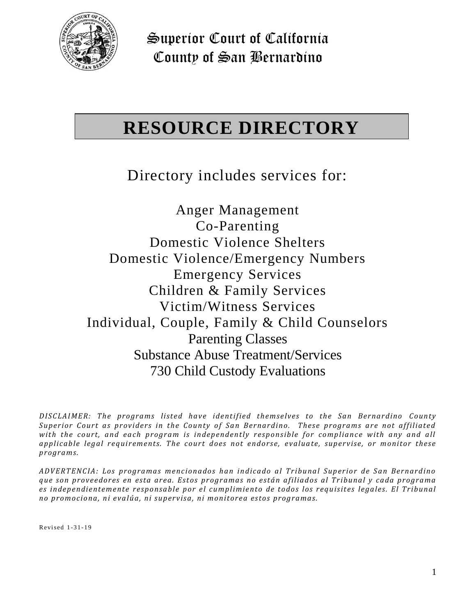

# **RESOURCE DIRECTORY**

Directory includes services for:

Anger Management Co-Parenting Domestic Violence Shelters Domestic Violence/Emergency Numbers Emergency Services Children & Family Services Victim/Witness Services Individual, Couple, Family & Child Counselors Parenting Classes Substance Abuse Treatment/Services 730 Child Custody Evaluations

*DISCLAIMER:* The programs listed have identified themselves to the San Bernardino County *Superior Court as providers in the County of San Bernardino. These programs are not affiliated with the court, and each program is independently responsible for compliance with any and all* applicable legal requirements. The court does not endorse, evaluate, supervise, or monitor these *progra ms.*

*ADV ERT ENC IA: Los progra ma s menciona dos han indica do a l Tr ibuna l Sup er ior de Sa n Ber nardino que s on p roveedor es en esta ar ea. Est os pr ogr amas no está n a filia dos al Tr ibuna l y ca da p rogra ma es indep endientemente resp onsa ble p or el cumplimient o de t odos los r equis it es lega les. El Tr ibunal no p romociona, ni eva lúa, ni s uper visa, ni monitorea estos progra mas.*

Revi sed 1 -3 1 -1 9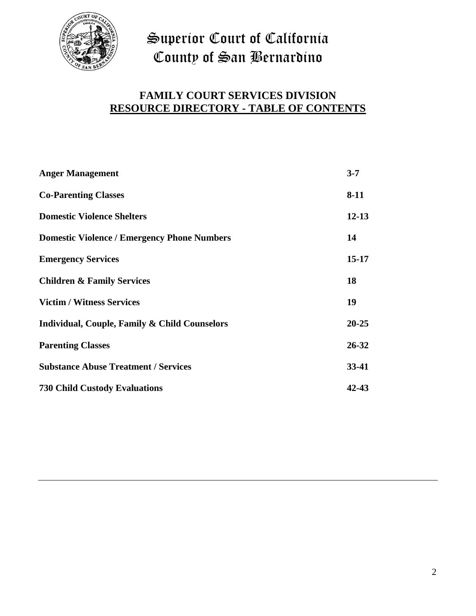

# **FAMILY COURT SERVICES DIVISION RESOURCE DIRECTORY - TABLE OF CONTENTS**

| <b>Anger Management</b>                                  | $3 - 7$   |
|----------------------------------------------------------|-----------|
| <b>Co-Parenting Classes</b>                              | $8 - 11$  |
| <b>Domestic Violence Shelters</b>                        | $12 - 13$ |
| <b>Domestic Violence / Emergency Phone Numbers</b>       | 14        |
| <b>Emergency Services</b>                                | $15 - 17$ |
| <b>Children &amp; Family Services</b>                    | 18        |
| <b>Victim / Witness Services</b>                         | 19        |
| <b>Individual, Couple, Family &amp; Child Counselors</b> | $20 - 25$ |
| <b>Parenting Classes</b>                                 | $26 - 32$ |
| <b>Substance Abuse Treatment / Services</b>              | $33-41$   |
| <b>730 Child Custody Evaluations</b>                     | 42-43     |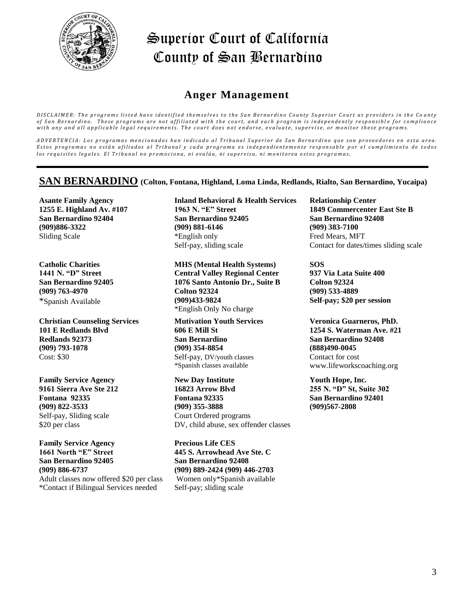

### **Anger Management**

DISCLAIMER: The programs listed have identified themselves to the San Bernardino County Superior Court as providers in the County of San Bernardino. These programs are not affiliated with the court, and each program is independently responsible for compliance with any and all applicable legal requirements. The court does not endorse, evaluate, supervise, or monitor these programs.

ADVERTENCIA: Los programas mencionados han indicado al Tribunal Superior de San Bernardino que son proveedores en esta area. Estos programas no están afiliados al Tribunal y cada programa es independientemente responsable por el cumplimiento de todos los requisites legales. El Tribunal no promociona, ni evalúa, ni supervisa, ni monitorea estos programas.

#### **SAN BERNARDINO (Colton, Fontana, Highland, Loma Linda, Redlands, Rialto, San Bernardino, Yucaipa)**

**Asante Family Agency 1255 E. Highland Av. #107 San Bernardino 92404 (909)886-3322** Sliding Scale

**Catholic Charities 1441 N. "D" Street San Bernardino 92405 (909) 763-4970** \*Spanish Available

**Christian Counseling Services 101 E Redlands Blvd Redlands 92373 (909) 793-1078**  Cost: \$30

**Family Service Agency 9161 Sierra Ave Ste 212 Fontana 92335 (909) 822-3533**  Self-pay, Sliding scale \$20 per class

**Family Service Agency 1661 North "E" Street San Bernardino 92405 (909) 886-6737**  Adult classes now offered \$20 per class \*Contact if Bilingual Services needed

**Inland Behavioral & Health Services 1963 N. "E" Street San Bernardino 92405 (909) 881-6146**  \*English only Self-pay, sliding scale

**MHS (Mental Health Systems) Central Valley Regional Center 1076 Santo Antonio Dr., Suite B Colton 92324 (909)433-9824**  \*English Only No charge

**Mutivation Youth Services 606 E Mill St San Bernardino (909) 354-8854** Self-pay, DV/youth classes \*Spanish classes available

**New Day Institute 16823 Arrow Blvd Fontana 92335 (909) 355-3888** Court Ordered programs DV, child abuse, sex offender classes

**Precious Life CES 445 S. Arrowhead Ave Ste. C San Bernardino 92408 (909) 889-2424 (909) 446-2703** Women only\*Spanish available Self-pay; sliding scale

**Relationship Center 1849 Commercenter East Ste B San Bernardino 92408 (909) 383-7100**  Fred Mears, MFT Contact for dates/times sliding scale

**SOS 937 Via Lata Suite 400 Colton 92324 (909) 533-4889 Self-pay; \$20 per session**

**Veronica Guarneros, PhD. 1254 S. Waterman Ave. #21 San Bernardino 92408 (888)490-0045**  Contact for cost www.lifeworkscoaching.org

**Youth Hope, Inc. 255 N. "D" St, Suite 302 San Bernardino 92401 (909)567-2808**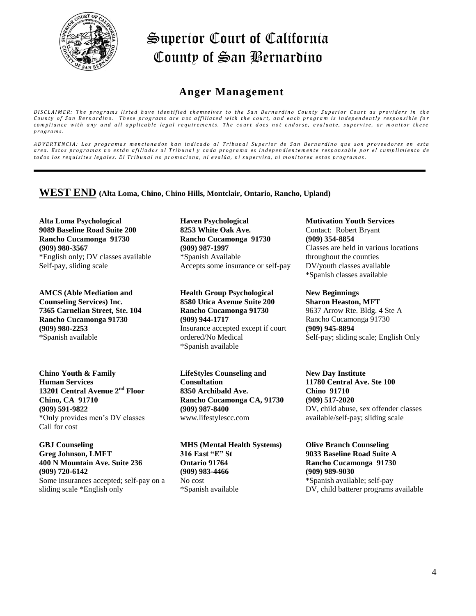

#### **Anger Management**

*DISCLAIMER: The programs listed have identified themselves to the San Bernardino County Superior Court as providers in the* County of San Bernardino. These programs are not affiliated with the court, and each program is independently responsible for *compliance with any and all applicable legal requirements. The court does not endorse, evaluate, supervise, or monitor these p r o g r a m s .*

*A D V E R T E N C I A : L o s p r o g r a m a s m e n c i o n a d o s h a n i n d i c a d o a l T r i b u n a l S u p e r i o r d e S a n B e r n a r d i n o q u e s o n p r o v e e d o r e s e n e s t a* area. Estos programas no están afiliados al Tribunal y cada programa es independientemente responsable por el cumplimiento de todos los requisites legales. El Tribunal no promociona, ni evalúa, ni supervisa, ni monitorea estos programas.

#### **WEST END (Alta Loma, Chino, Chino Hills, Montclair, Ontario, Rancho, Upland)**

**Alta Loma Psychological 9089 Baseline Road Suite 200 Rancho Cucamonga 91730 (909) 980-3567**  \*English only; DV classes available Self-pay, sliding scale

**AMCS (Able Mediation and Counseling Services) Inc. 7365 Carnelian Street, Ste. 104 Rancho Cucamonga 91730 (909) 980-2253**  \*Spanish available

**Chino Youth & Family Human Services 13201 Central Avenue 2nd Floor Chino, CA 91710 (909) 591-9822** \*Only provides men's DV classes Call for cost

**GBJ Counseling Greg Johnson, LMFT 400 N Mountain Ave. Suite 236 (909) 720-6142**  Some insurances accepted; self-pay on a sliding scale \*English only

**Haven Psychological 8253 White Oak Ave. Rancho Cucamonga 91730 (909) 987-1997**  \*Spanish Available Accepts some insurance or self-pay

**Health Group Psychological 8580 Utica Avenue Suite 200 Rancho Cucamonga 91730 (909) 944-1717**  Insurance accepted except if court ordered/No Medical \*Spanish available

**LifeStyles Counseling and Consultation 8350 Archibald Ave. Rancho Cucamonga CA, 91730 (909) 987-8400** www.lifestylescc.com

**MHS (Mental Health Systems) 316 East "E" St Ontario 91764 (909) 983-4466** No cost \*Spanish available

**Mutivation Youth Services** Contact: Robert Bryant **(909) 354-8854** Classes are held in various locations throughout the counties DV/youth classes available \*Spanish classes available

**New Beginnings Sharon Heaston, MFT** 9637 Arrow Rte. Bldg. 4 Ste A Rancho Cucamonga 91730 **(909) 945-8894** Self-pay; sliding scale; English Only

**New Day Institute 11780 Central Ave. Ste 100 Chino 91710 (909) 517-2020**  DV, child abuse, sex offender classes available/self-pay; sliding scale

**Olive Branch Counseling 9033 Baseline Road Suite A Rancho Cucamonga 91730 (909) 989-9030**  \*Spanish available; self-pay DV, child batterer programs available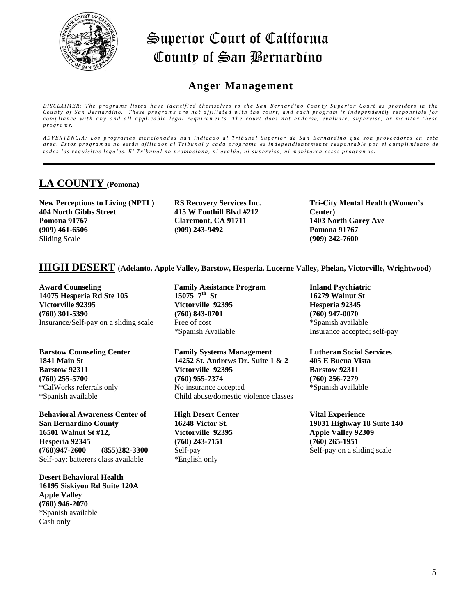

### **Anger Management**

DISCLAIMER: The programs listed have identified themselves to the San Bernardino County Superior Court as providers in the County of San Bernardino. These programs are not affiliated with the court, and each program is independently responsible for *compliance with any and all applicable legal requirements. The court does not endorse, evaluate, supervise, or monitor these p r o g r a m s .*

*A D V E R T E N C I A : L o s p r o g r a m a s m e n c i o n a d o s h a n i n d i c a d o a l T r i b u n a l S u p e r i o r d e S a n B e r n a r d i n o q u e s o n p r o v e e d o r e s e n e s t a* area. Estos programas no están afiliados al Tribunal y cada programa es independientemente responsable por el cumplimiento de todos los requisites legales. El Tribunal no promociona, ni evalúa, ni supervisa, ni monitorea estos programas.

### **LA COUNTY (Pomona)**

**New Perceptions to Living (NPTL) 404 North Gibbs Street Pomona 91767 (909) 461-6506** Sliding Scale

**RS Recovery Services Inc. 415 W Foothill Blvd #212 Claremont, CA 91711 (909) 243-9492**

**Tri-City Mental Health (Women's Center) 1403 North Garey Ave Pomona 91767 (909) 242-7600**

#### **HIGH DESERT** (**Adelanto, Apple Valley, Barstow, Hesperia, Lucerne Valley, Phelan, Victorville, Wrightwood)**

**Award Counseling 14075 Hesperia Rd Ste 105 Victorville 92395 (760) 301-5390**  Insurance/Self-pay on a sliding scale

**Barstow Counseling Center 1841 Main St Barstow 92311 (760) 255-5700** \*CalWorks referrals only \*Spanish available

**Behavioral Awareness Center of San Bernardino County 16501 Walnut St #12, Hesperia 92345 (760)947-2600 (855)282-3300** Self-pay; batterers class available

**Desert Behavioral Health 16195 Siskiyou Rd Suite 120A Apple Valley (760) 946-2070** \*Spanish available Cash only

**Family Assistance Program** 15075  $7^{\text{th}}$  St **Victorville 92395 (760) 843-0701** Free of cost \*Spanish Available

**Family Systems Management 14252 St. Andrews Dr.** S**uite 1 & 2 Victorville 92395 (760) 955-7374**  No insurance accepted Child abuse/domestic violence classes

**High Desert Center 16248 Victor St. Victorville 92395 (760) 243-7151** Self-pay \*English only

**Inland Psychiatric 16279 Walnut St Hesperia 92345 (760) 947-0070** \*Spanish available Insurance accepted; self-pay

**Lutheran Social Services 405 E Buena Vista Barstow 92311 (760) 256-7279**  \*Spanish available

**Vital Experience 19031 Highway 18 Suite 140 Apple Valley 92309 (760) 265-1951** Self-pay on a sliding scale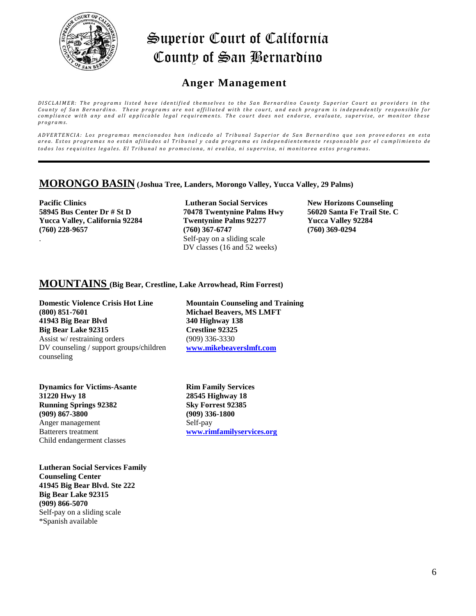

### **Anger Management**

*DISCLAIMER: The programs listed have identified themselves to the San Bernardino County Superior Court as providers in the County of San Bernardino. These programs are not affiliated with the court, and each program is independently responsible for compliance with any and all applicable legal requirements. The court does not endorse, evaluate, supervise, or monitor these p r o g r a m s .*

*A D V E R T E N C I A : L o s p r o g r a m a s m e n c i o n a d o s h a n i n d i c a d o a l T r i b u n a l S u p e r i o r d e S a n B e r n a r d i n o q u e s o n p r o v e e d o r e s e n e s t a* area. Estos programas no están afiliados al Tribunal y cada programa es independientemente responsable por el cumplimiento de todos los requisites legales. El Tribunal no promociona, ni evalúa, ni supervisa, ni monitorea estos programas.

#### **MORONGO BASIN (Joshua Tree, Landers, Morongo Valley, Yucca Valley, 29 Palms)**

**Pacific Clinics 58945 Bus Center Dr # St D Yucca Valley, California 92284 (760) 228-9657** .

**Lutheran Social Services 70478 Twentynine Palms Hwy Twentynine Palms 92277 (760) 367-6747**  Self-pay on a sliding scale DV classes (16 and 52 weeks)

**New Horizons Counseling 56020 Santa Fe Trail Ste. C Yucca Valley 92284 (760) 369-0294**

#### **MOUNTAINS (Big Bear, Crestline, Lake Arrowhead, Rim Forrest)**

**Domestic Violence Crisis Hot Line (800) 851-7601 41943 Big Bear Blvd Big Bear Lake 92315** Assist w/ restraining orders DV counseling / support groups/children counseling

**Dynamics for Victims-Asante 31220 Hwy 18 Running Springs 92382 (909) 867-3800** Anger management Batterers treatment Child endangerment classes

**Lutheran Social Services Family Counseling Center 41945 Big Bear Blvd. Ste 222 Big Bear Lake 92315 (909) 866-5070**  Self-pay on a sliding scale \*Spanish available

**Mountain Counseling and Training Michael Beavers, MS LMFT 340 Highway 138 Crestline 92325** (909) 336-3330 **[www.mikebeaverslmft.com](http://www.mikebeaverslmft.com/)**

**Rim Family Services 28545 Highway 18 Sky Forrest 92385 (909) 336-1800**  Self-pay **[www.rimfamilyservices.org](http://www.rimfamilyservices.org/)**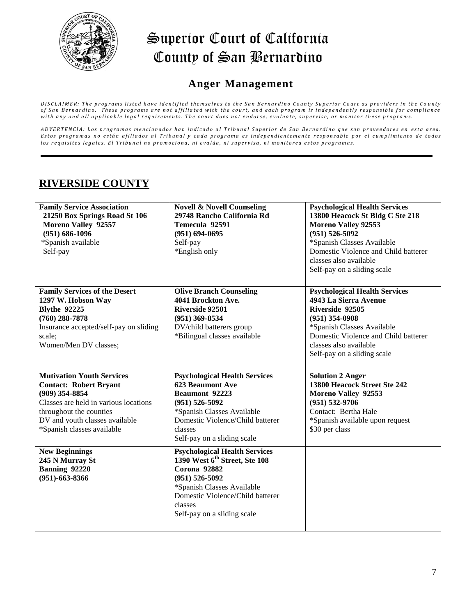

### **Anger Management**

DISCLAIMER: The programs listed have identified themselves to the San Bernardino County Superior Court as providers in the County of San Bernardino. These programs are not affiliated with the court, and each program is independently responsible for compliance with any and all applicable legal requirements. The court does not endorse, evaluate, supervise, or monitor these programs.

ADVERTENCIA: Los programas mencionados han indicado al Tribunal Superior de San Bernardino que son proveedores en esta area. Estos programas no están afiliados al Tribunal y cada programa es independientemente responsable por el cumplimiento de todos los requisites legales. El Tribunal no promociona, ni evalúa, ni supervisa, ni monitorea estos programas.

### **RIVERSIDE COUNTY**

| <b>Family Service Association</b><br>21250 Box Springs Road St 106<br>Moreno Valley 92557<br>$(951) 686 - 1096$<br>*Spanish available<br>Self-pay                                                                         | <b>Novell &amp; Novell Counseling</b><br>29748 Rancho California Rd<br>Temecula 92591<br>$(951) 694 - 0695$<br>Self-pay<br>*English only                                                                                            | <b>Psychological Health Services</b><br>13800 Heacock St Bldg C Ste 218<br><b>Moreno Valley 92553</b><br>$(951) 526 - 5092$<br>*Spanish Classes Available<br>Domestic Violence and Child batterer<br>classes also available<br>Self-pay on a sliding scale |
|---------------------------------------------------------------------------------------------------------------------------------------------------------------------------------------------------------------------------|-------------------------------------------------------------------------------------------------------------------------------------------------------------------------------------------------------------------------------------|------------------------------------------------------------------------------------------------------------------------------------------------------------------------------------------------------------------------------------------------------------|
| <b>Family Services of the Desert</b><br>1297 W. Hobson Way<br><b>Blythe 92225</b><br>$(760)$ 288-7878<br>Insurance accepted/self-pay on sliding<br>scale;<br>Women/Men DV classes;                                        | <b>Olive Branch Counseling</b><br>4041 Brockton Ave.<br>Riverside 92501<br>$(951)$ 369-8534<br>DV/child batterers group<br>*Bilingual classes available                                                                             | <b>Psychological Health Services</b><br>4943 La Sierra Avenue<br>Riverside 92505<br>$(951)$ 354-0908<br>*Spanish Classes Available<br>Domestic Violence and Child batterer<br>classes also available<br>Self-pay on a sliding scale                        |
| <b>Mutivation Youth Services</b><br><b>Contact: Robert Bryant</b><br>$(909)$ 354-8854<br>Classes are held in various locations<br>throughout the counties<br>DV and youth classes available<br>*Spanish classes available | <b>Psychological Health Services</b><br><b>623 Beaumont Ave</b><br><b>Beaumont 92223</b><br>$(951) 526 - 5092$<br>*Spanish Classes Available<br>Domestic Violence/Child batterer<br>classes<br>Self-pay on a sliding scale          | <b>Solution 2 Anger</b><br>13800 Heacock Street Ste 242<br><b>Moreno Valley 92553</b><br>$(951) 532 - 9706$<br>Contact: Bertha Hale<br>*Spanish available upon request<br>\$30 per class                                                                   |
| <b>New Beginnings</b><br>245 N Murray St<br>Banning 92220<br>$(951) - 663 - 8366$                                                                                                                                         | <b>Psychological Health Services</b><br>1390 West 6 <sup>th</sup> Street, Ste 108<br>Corona 92882<br>$(951) 526 - 5092$<br>*Spanish Classes Available<br>Domestic Violence/Child batterer<br>classes<br>Self-pay on a sliding scale |                                                                                                                                                                                                                                                            |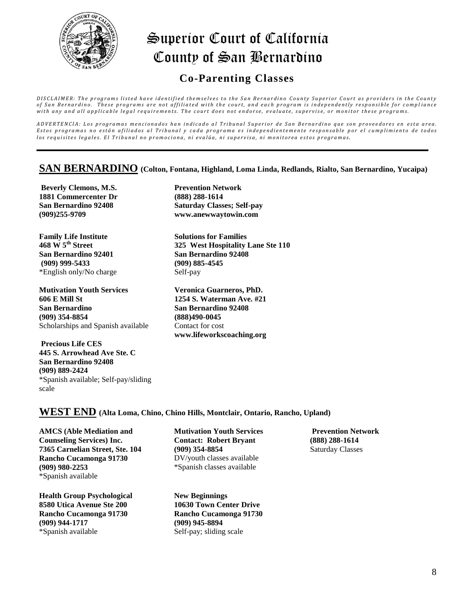

### **Co-Parenting Classes**

DISCLAIMER: The programs listed have identified themselves to the San Bernardino County Superior Court as providers in the County of San Bernardino. These programs are not affiliated with the court, and each program is independently responsible for compliance with any and all applicable legal requirements. The court does not endorse, evaluate, supervise, or monitor these programs.

ADVERTENCIA: Los programas mencionados han indicado al Tribunal Superior de San Bernardino que son proveedores en esta area. Estos programas no están afiliados al Tribunal y cada programa es independientemente responsable por el cumplimiento de todos los requisites legales. El Tribunal no promociona, ni evalúa, ni supervisa, ni monitorea estos programas.

#### **SAN BERNARDINO (Colton, Fontana, Highland, Loma Linda, Redlands, Rialto, San Bernardino, Yucaipa)**

**Beverly Clemons, M.S. 1881 Commercenter Dr San Bernardino 92408 (909)255-9709**

**Family Life Institute 468 W 5th Street San Bernardino 92401 (909) 999-5433** \*English only/No charge

**Mutivation Youth Services 606 E Mill St San Bernardino (909) 354-8854** Scholarships and Spanish available

**Precious Life CES 445 S. Arrowhead Ave Ste. C San Bernardino 92408 (909) 889-2424** \*Spanish available; Self-pay/sliding scale

**Prevention Network (888) 288-1614 Saturday Classes; Self-pay www.anewwaytowin.com**

**Solutions for Families 325 West Hospitality Lane Ste 110 San Bernardino 92408 (909) 885-4545** Self-pay

**Veronica Guarneros, PhD. 1254 S. Waterman Ave. #21 San Bernardino 92408 (888)490-0045**  Contact for cost **www.lifeworkscoaching.org**

#### **WEST END (Alta Loma, Chino, Chino Hills, Montclair, Ontario, Rancho, Upland)**

**AMCS (Able Mediation and Counseling Services) Inc. 7365 Carnelian Street, Ste. 104 Rancho Cucamonga 91730 (909) 980-2253**  \*Spanish available

**Health Group Psychological 8580 Utica Avenue Ste 200 Rancho Cucamonga 91730 (909) 944-1717**  \*Spanish available

**Mutivation Youth Services Contact: Robert Bryant (909) 354-8854** DV/youth classes available \*Spanish classes available

**New Beginnings 10630 Town Center Drive Rancho Cucamonga 91730 (909) 945-8894** Self-pay; sliding scale

**Prevention Network (888) 288-1614**  Saturday Classes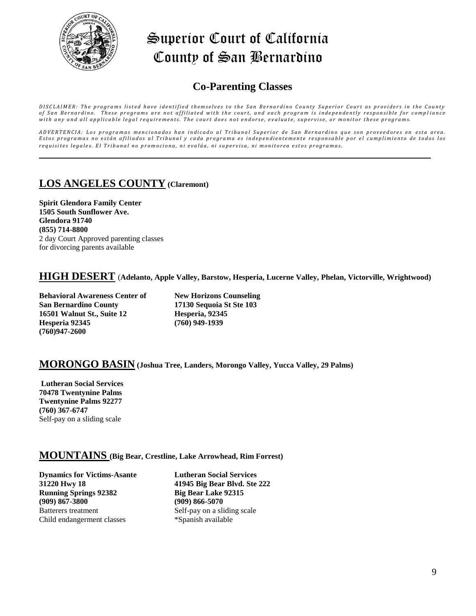

## **Co-Parenting Classes**

DISCLAIMER: The programs listed have identified themselves to the San Bernardino County Superior Court as providers in the County of San Bernardino. These programs are not affiliated with the court, and each program is independently responsible for compliance with any and all applicable legal requirements. The court does not endorse, evaluate, supervise, or monitor these programs.

ADVERTENCIA: Los programas mencionados han indicado al Tribunal Superior de San Bernardino que son proveedores en esta area. Estos programas no están afiliados al Tribunal y cada programa es independientemente responsable por el cumplimiento de todos los requisites legales. El Tribunal no promociona, ni evalúa, ni supervisa, ni monitorea estos programas.

### **LOS ANGELES COUNTY (Claremont)**

**Spirit Glendora Family Center 1505 South Sunflower Ave. Glendora 91740 (855) 714-8800** 2 day Court Approved parenting classes for divorcing parents available

#### **HIGH DESERT** (**Adelanto, Apple Valley, Barstow, Hesperia, Lucerne Valley, Phelan, Victorville, Wrightwood)**

**Behavioral Awareness Center of San Bernardino County 16501 Walnut St., Suite 12 Hesperia 92345 (760)947-2600**

**New Horizons Counseling 17130 Sequoia St Ste 103 Hesperia, 92345 (760) 949-1939** 

#### **MORONGO BASIN (Joshua Tree, Landers, Morongo Valley, Yucca Valley, 29 Palms)**

**Lutheran Social Services 70478 Twentynine Palms Twentynine Palms 92277 (760) 367-6747** Self-pay on a sliding scale

#### **MOUNTAINS (Big Bear, Crestline, Lake Arrowhead, Rim Forrest)**

**Dynamics for Victims-Asante 31220 Hwy 18 Running Springs 92382 (909) 867-3800** Batterers treatment Child endangerment classes

**Lutheran Social Services 41945 Big Bear Blvd. Ste 222 Big Bear Lake 92315 (909) 866-5070** Self-pay on a sliding scale \*Spanish available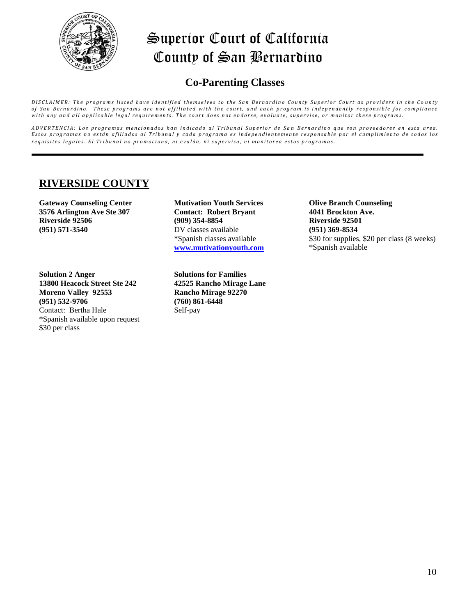

### **Co-Parenting Classes**

DISCLAIMER: The programs listed have identified themselves to the San Bernardino County Superior Court as providers in the County of San Bernardino. These programs are not affiliated with the court, and each program is independently responsible for compliance with any and all applicable legal requirements. The court does not endorse, evaluate, supervise, or monitor these programs.

ADVERTENCIA: Los programas mencionados han indicado al Tribunal Superior de San Bernardino que son proveedores en esta area. Estos programas no están afiliados al Tribunal y cada programa es independientemente responsable por el cumplimiento de todos los requisites legales. El Tribunal no promociona, ni evalúa, ni supervisa, ni monitorea estos programas.

### **RIVERSIDE COUNTY**

**Gateway Counseling Center 3576 Arlington Ave Ste 307 Riverside 92506 (951) 571-3540**

**Solution 2 Anger 13800 Heacock Street Ste 242 Moreno Valley 92553 (951) 532-9706**  Contact: Bertha Hale \*Spanish available upon request \$30 per class

**Mutivation Youth Services Contact: Robert Bryant (909) 354-8854** DV classes available \*Spanish classes available **[www.mutivationyouth.com](http://www.mutivationyouth.com/)**

**Solutions for Families 42525 Rancho Mirage Lane Rancho Mirage 92270 (760) 861-6448**  Self-pay

**Olive Branch Counseling 4041 Brockton Ave. Riverside 92501 (951) 369-8534**  \$30 for supplies, \$20 per class (8 weeks) \*Spanish available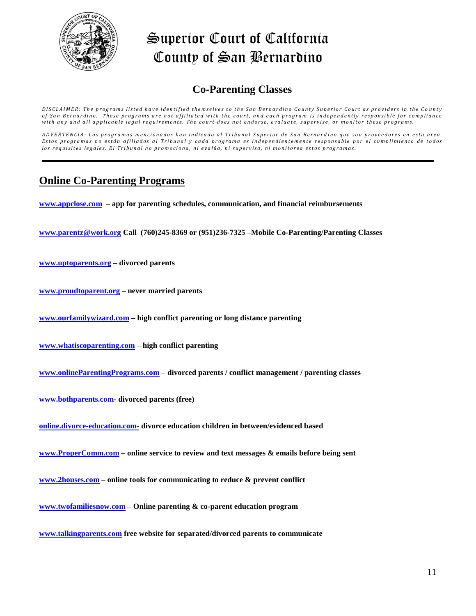

## **Co-Parenting Classes**

DISCLAIMER: The programs listed have identified themselves to the San Bernardino County Superior Court as providers in the County of San Bernardino. These programs are not affiliated with the court, and each program is independently responsible for compliance with any and all applicable legal requirements. The court does not endorse, evaluate, supervise, or monitor these programs.

ADVERTENCIA: Los programas mencionados han indicado al Tribunal Superior de San Bernardino que son proveedores en esta area. Estos programas no están afiliados al Tribunal y cada programa es independientemente responsable por el cumplimiento de todos los requisites legales. El Tribunal no promociona, ni evalúa, ni supervisa, ni monitorea estos programas.

### **Online Co-Parenting Programs**

**[www.appclose.com](http://www.appclose.com/) – app for parenting schedules, communication, and financial reimbursements** 

**[www.parentz@work.org](http://www.parentz@work.org/) Call (760)245-8369 or (951)236-7325 –Mobile Co-Parenting/Parenting Classes**

**[www.uptoparents.org](http://www.uptoparents.org/) – divorced parents**

**[www.proudtoparent.org](http://www.proudtoparent.org/) – never married parents**

**[www.ourfamilywizard.com](http://www.ourfamilywizard.com/) – high conflict parenting or long distance parenting**

**[www.whatiscoparenting.com](http://www.whatiscoparenting.com/) – high conflict parenting** 

**[www.onlineParentingPrograms.com](http://www.onlineparentingprograms.com/) – divorced parents / conflict management / parenting classes**

**[www.bothparents.com-](http://www.bothparents.com-/) divorced parents (free)**

**[online.divorce-education.com-](http://www.online.divorce-education.com-/) divorce education children in between/evidenced based**

**[www.ProperComm.com](http://www.propercomm.com/) – online service to review and text messages & emails before being sent**

**[www.2houses.com](http://www.2houses.com/) – online tools for communicating to reduce & prevent conflict**

**[www.twofamiliesnow.com](http://www.twofamiliesnow.com/) – Online parenting & co-parent education program** 

**[www.talkingparents.com](http://www.talkingparents.com/) free website for separated/divorced parents to communicate**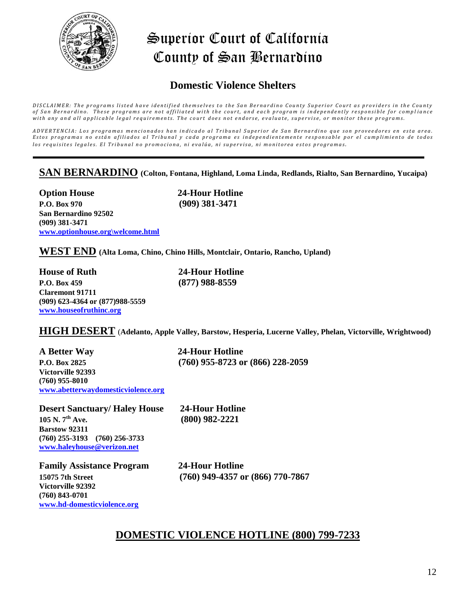

### **Domestic Violence Shelters**

DISCLAIMER: The programs listed have identified themselves to the San Bernardino County Superior Court as providers in the County of San Bernardino. These programs are not affiliated with the court, and each program is independently responsible for compliance with any and all applicable legal requirements. The court does not endorse, evaluate, supervise, or monitor these programs.

ADVERTENCIA: Los programas mencionados han indicado al Tribunal Superior de San Bernardino que son proveedores en esta area. Estos programas no están afiliados al Tribunal y cada programa es independientemente responsable por el cumplimiento de todos los requisites legales. El Tribunal no promociona, ni evalúa, ni supervisa, ni monitorea estos programas.

#### **SAN BERNARDINO (Colton, Fontana, Highland, Loma Linda, Redlands, Rialto, San Bernardino, Yucaipa)**

**Option House 24-Hour Hotline P.O. Box 970 (909) 381-3471 San Bernardino 92502 (909) 381-3471 [www.optionhouse.org\welcome.html](http://www.optionhouse.org/welcome.html)**

**WEST END (Alta Loma, Chino, Chino Hills, Montclair, Ontario, Rancho, Upland)**

**House of Ruth 24-Hour Hotline P.O. Box 459 (877) 988-8559 Claremont 91711 (909) 623-4364 or (877)988-5559 [www.houseofruthinc.org](http://www.houseofruthinc.org/)**

**HIGH DESERT** (**Adelanto, Apple Valley, Barstow, Hesperia, Lucerne Valley, Phelan, Victorville, Wrightwood)**

**A Better Way 24-Hour Hotline P.O. Box 2825 (760) 955-8723 or (866) 228-2059 Victorville 92393 (760) 955-8010 [www.abetterwaydomesticviolence.org](http://www.abetterwaydomesticviolence.org/)**

**Desert Sanctuary/ Haley House 24-Hour Hotline 105 N. 7th Ave. (800) 982-2221 Barstow 92311 (760) 255-3193 (760) 256-3733 [www.haleyhouse@verizon.net](http://www.haleyhouse@verizon.net/)**

**Family Assistance Program 24-Hour Hotline Victorville 92392 (760) 843-0701 [www.hd-domesticviolence.org](http://www.hd-domesticviolence.org/)**

**15075 7th Street (760) 949-4357 or (866) 770-7867**

#### **DOMESTIC VIOLENCE HOTLINE (800) 799-7233**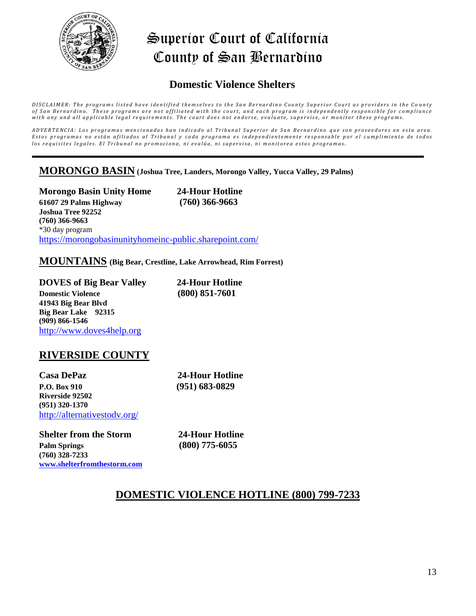

### **Domestic Violence Shelters**

DISCLAIMER: The programs listed have identified themselves to the San Bernardino County Superior Court as providers in the County of San Bernardino. These programs are not affiliated with the court, and each program is independently responsible for compliance with any and all applicable legal requirements. The court does not endorse, evaluate, supervise, or monitor these programs.

ADVERTENCIA: Los programas mencionados han indicado al Tribunal Superior de San Bernardino que son proveedores en esta area. Estos programas no están afiliados al Tribunal y cada programa es independientemente responsable por el cumplimiento de todos los requisites legales. El Tribunal no promociona, ni evalúa, ni supervisa, ni monitorea estos programas.

#### **MORONGO BASIN (Joshua Tree, Landers, Morongo Valley, Yucca Valley, 29 Palms)**

**Morongo Basin Unity Home 24-Hour Hotline 61607 29 Palms Highway (760) 366-9663 Joshua Tree 92252 (760) 366-9663** \*30 day program <https://morongobasinunityhomeinc-public.sharepoint.com/>

#### **MOUNTAINS (Big Bear, Crestline, Lake Arrowhead, Rim Forrest)**

**DOVES of Big Bear Valley 24-Hour Hotline Domestic Violence (800) 851-7601 41943 Big Bear Blvd Big Bear Lake 92315 (909) 866-1546**  [http://www.doves4help.org](http://www.doves4help.org/)

#### **RIVERSIDE COUNTY**

**Casa DePaz 24-Hour Hotline P.O. Box 910 (951) 683-0829 Riverside 92502 (951) 320-1370** <http://alternativestodv.org/>

**Shelter from the Storm 24-Hour Hotline Palm Springs (800) 775-6055 (760) 328-7233 [www.shelterfromthestorm.com](http://www.shelterfromthestorm.com/)**

#### **DOMESTIC VIOLENCE HOTLINE (800) 799-7233**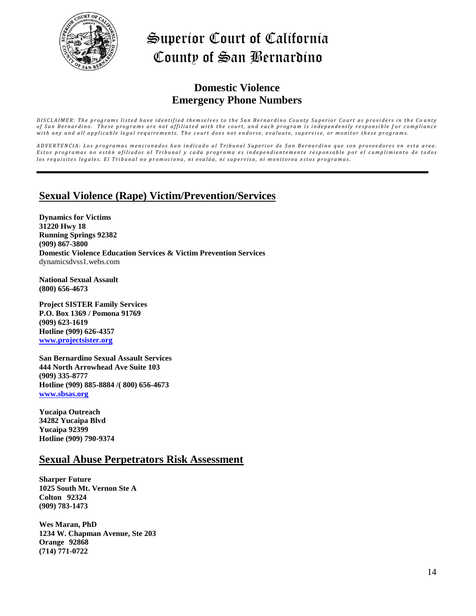

### **Domestic Violence Emergency Phone Numbers**

DISCLAIMER: The programs listed have identified themselves to the San Bernardino County Superior Court as providers in the County of San Bernardino. These programs are not affiliated with the court, and each program is independently responsible for compliance with any and all applicable legal requirements. The court does not endorse, evaluate, supervise, or monitor these programs.

ADVERTENCIA: Los programas mencionados han indicado al Tribunal Superior de San Bernardino que son proveedores en esta area. Estos programas no están afiliados al Tribunal y cada programa es independientemente responsable por el cumplimiento de todos los requisites legales. El Tribunal no promociona, ni evalúa, ni supervisa, ni monitorea estos programas.

### **Sexual Violence (Rape) Victim/Prevention/Services**

**Dynamics for Victims 31220 Hwy 18 Running Springs 92382 (909) 867-3800 Domestic Violence Education Services & Victim Prevention Services** dynamicsdvss1.webs.com

**National Sexual Assault (800) 656-4673**

**Project SISTER Family Services P.O. Box 1369 / Pomona 91769 (909) 623-1619 Hotline (909) 626-4357 [www.projectsister.org](http://www.projectsister.org/)**

**San Bernardino Sexual Assault Services 444 North Arrowhead Ave Suite 103 (909) 335-8777 Hotline (909) 885-8884 /( 800) 656-4673 [www.sbsas.org](http://www.sbsas.org/)**

**Yucaipa Outreach 34282 Yucaipa Blvd Yucaipa 92399 Hotline (909) 790-9374**

#### **Sexual Abuse Perpetrators Risk Assessment**

**Sharper Future 1025 South Mt. Vernon Ste A Colton 92324 (909) 783-1473**

**Wes Maran, PhD 1234 W. Chapman Avenue, Ste 203 Orange 92868 (714) 771-0722**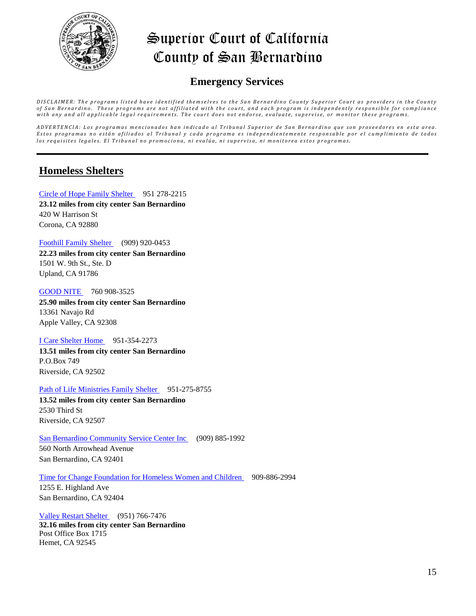

### **Emergency Services**

DISCLAIMER: The programs listed have identified themselves to the San Bernardino County Superior Court as providers in the County of San Bernardino. These programs are not affiliated with the court, and each program is independently responsible for compliance with any and all applicable legal requirements. The court does not endorse, evaluate, supervise, or monitor these programs.

ADVERTENCIA: Los programas mencionados han indicado al Tribunal Superior de San Bernardino que son proveedores en esta area. Estos programas no están afiliados al Tribunal y cada programa es independientemente responsable por el cumplimiento de todos los requisites legales. El Tribunal no promociona, ni evalúa, ni supervisa, ni monitorea estos programas.

### **Homeless Shelters**

[Circle of Hope Family Shelter](http://www.homelessshelterdirectory.org/cgi-bin/id/shelter.cgi?shelter=9659) 951 278-2215 **23.12 miles from city center San Bernardino** 420 W Harrison St Corona, CA 92880

[Foothill Family Shelter](http://www.homelessshelterdirectory.org/cgi-bin/id/shelter.cgi?shelter=11247) (909) 920-0453

**22.23 miles from city center San Bernardino** 1501 W. 9th St., Ste. D Upland, CA 91786

[GOOD NITE](http://www.homelessshelterdirectory.org/cgi-bin/id/shelter.cgi?shelter=9480) 760 908-3525 **25.90 miles from city center San Bernardino** 13361 Navajo Rd Apple Valley, CA 92308

#### [I Care Shelter Home](http://www.homelessshelterdirectory.org/cgi-bin/id/shelter.cgi?shelter=9731) 951-354-2273

**13.51 miles from city center San Bernardino** P.O.Box 749 Riverside, CA 92502

#### [Path of Life Ministries Family Shelter](http://www.homelessshelterdirectory.org/cgi-bin/id/shelter.cgi?shelter=11816) 951-275-8755

**13.52 miles from city center San Bernardino** 2530 Third St Riverside, CA 92507

[San Bernardino Community Service Center Inc](http://www.homelessshelterdirectory.org/cgi-bin/id/shelter.cgi?shelter=8003) (909) 885-1992

560 North Arrowhead Avenue San Bernardino, CA 92401

#### [Time for Change Foundation for Homeless Women and Children](http://www.homelessshelterdirectory.org/cgi-bin/id/shelter.cgi?shelter=11947) 909-886-2994

1255 E. Highland Ave San Bernardino, CA 92404

[Valley Restart Shelter](http://www.homelessshelterdirectory.org/cgi-bin/id/shelter.cgi?shelter=12052) (951) 766-7476 **32.16 miles from city center San Bernardino** Post Office Box 1715 Hemet, CA 92545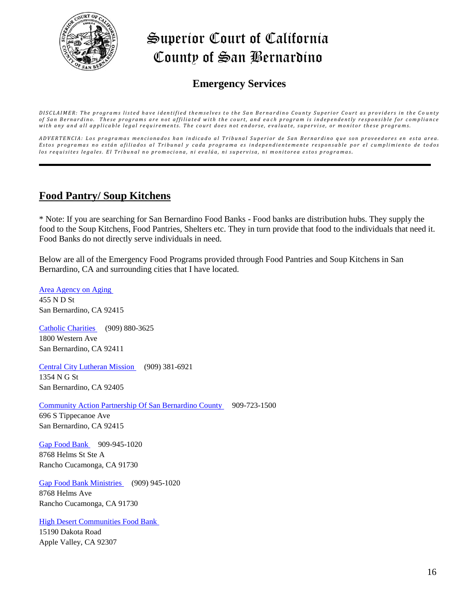

### **Emergency Services**

DISCLAIMER: The programs listed have identified themselves to the San Bernardino County Superior Court as providers in the County of San Bernardino. These programs are not affiliated with the court, and each program is independently responsible for compliance with any and all applicable legal requirements. The court does not endorse, evaluate, supervise, or monitor these programs.

ADVERTENCIA: Los programas mencionados han indicado al Tribunal Superior de San Bernardino que son proveedores en esta area. Estos programas no están afiliados al Tribunal y cada programa es independientemente responsable por el cumplimiento de todos los requisites legales. El Tribunal no promociona, ni evalúa, ni supervisa, ni monitorea estos programas.

### **Food Pantry/ Soup Kitchens**

\* Note: If you are searching for San Bernardino Food Banks - Food banks are distribution hubs. They supply the food to the Soup Kitchens, Food Pantries, Shelters etc. They in turn provide that food to the individuals that need it. Food Banks do not directly serve individuals in need.

Below are all of the Emergency Food Programs provided through Food Pantries and Soup Kitchens in San Bernardino, CA and surrounding cities that I have located.

[Area Agency on Aging](http://www.homelessshelterdirectory.org/cgi-bin/id/foodbank.cgi?foodbank=27)  455 N D St San Bernardino, CA 92415 [Catholic Charities](http://www.homelessshelterdirectory.org/cgi-bin/id/foodbank.cgi?foodbank=83) (909) 880-3625 1800 Western Ave San Bernardino, CA 92411 [Central City Lutheran Mission](http://www.homelessshelterdirectory.org/cgi-bin/id/foodbank.cgi?foodbank=92) (909) 381-6921 1354 N G St San Bernardino, CA 92405 [Community Action Partnership Of San Bernardino County](http://www.homelessshelterdirectory.org/cgi-bin/id/foodbank.cgi?foodbank=2305) 909-723-1500 696 S Tippecanoe Ave San Bernardino, CA 92415 [Gap Food Bank](http://www.homelessshelterdirectory.org/cgi-bin/id/foodbank.cgi?foodbank=2586) 909-945-1020 8768 Helms St Ste A Rancho Cucamonga, CA 91730 [Gap Food Bank Ministries](http://www.homelessshelterdirectory.org/cgi-bin/id/foodbank.cgi?foodbank=304) (909) 945-1020 8768 Helms Ave

Rancho Cucamonga, CA 91730

[High Desert Communities Food Bank](http://www.homelessshelterdirectory.org/cgi-bin/id/foodbank.cgi?foodbank=2679)  15190 Dakota Road Apple Valley, CA 92307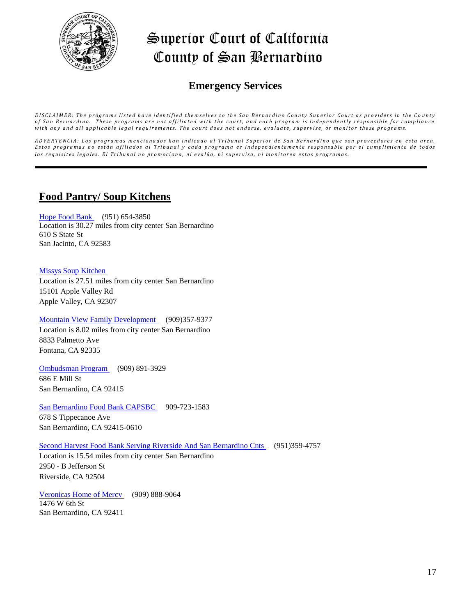

### **Emergency Services**

DISCLAIMER: The programs listed have identified themselves to the San Bernardino County Superior Court as providers in the County of San Bernardino. These programs are not affiliated with the court, and each program is independently responsible for compliance with any and all applicable legal requirements. The court does not endorse, evaluate, supervise, or monitor these programs.

ADVERTENCIA: Los programas mencionados han indicado al Tribunal Superior de San Bernardino que son proveedores en esta area. Estos programas no están afiliados al Tribunal y cada programa es independientemente responsable por el cumplimiento de todos los requisites legales. El Tribunal no promociona, ni evalúa, ni supervisa, ni monitorea estos programas.

### **Food Pantry/ Soup Kitchens**

[Hope Food Bank](http://www.homelessshelterdirectory.org/cgi-bin/id/foodbank.cgi?foodbank=394) (951) 654-3850 Location is 30.27 miles from city center San Bernardino 610 S State St San Jacinto, CA 92583

#### [Missys Soup Kitchen](http://www.homelessshelterdirectory.org/cgi-bin/id/foodbank.cgi?foodbank=2874)

Location is 27.51 miles from city center San Bernardino 15101 Apple Valley Rd Apple Valley, CA 92307

#### [Mountain View Family Development](http://www.homelessshelterdirectory.org/cgi-bin/id/foodbank.cgi?foodbank=2891) (909)357-9377

Location is 8.02 miles from city center San Bernardino 8833 Palmetto Ave Fontana, CA 92335

[Ombudsman Program](http://www.homelessshelterdirectory.org/cgi-bin/id/foodbank.cgi?foodbank=567) (909) 891-3929 686 E Mill St San Bernardino, CA 92415

#### [San Bernardino Food Bank CAPSBC](http://www.homelessshelterdirectory.org/cgi-bin/id/foodbank.cgi?foodbank=816) 909-723-1583

678 S Tippecanoe Ave San Bernardino, CA 92415-0610

#### [Second Harvest Food Bank Serving Riverside And San Bernardino Cnts](http://www.homelessshelterdirectory.org/cgi-bin/id/foodbank.cgi?foodbank=3101) (951)359-4757

Location is 15.54 miles from city center San Bernardino 2950 - B Jefferson St Riverside, CA 92504

[Veronicas Home of Mercy](http://www.homelessshelterdirectory.org/cgi-bin/id/foodbank.cgi?foodbank=761) (909) 888-9064 1476 W 6th St San Bernardino, CA 92411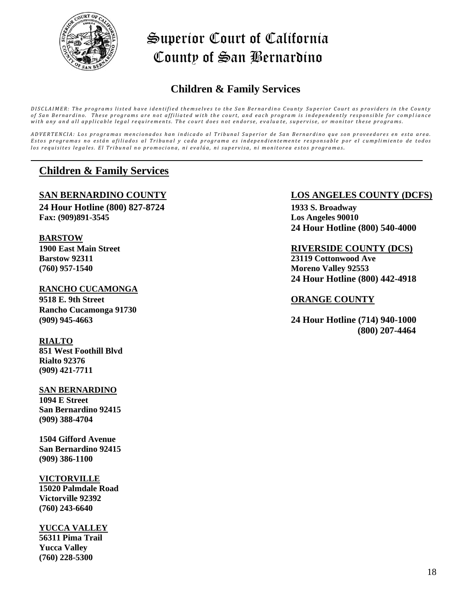

## **Children & Family Services**

DISCLAIMER: The programs listed have identified themselves to the San Bernardino County Superior Court as providers in the County of San Bernardino. These programs are not affiliated with the court, and each program is independently responsible for compliance with any and all applicable legal requirements. The court does not endorse, evaluate, supervise, or monitor these programs.

ADVERTENCIA: Los programas mencionados han indicado al Tribunal Superior de San Bernardino que son proveedores en esta area. Estos programas no están afiliados al Tribunal y cada programa es independientemente responsable por el cumplimiento de todos los requisites legales. El Tribunal no promociona, ni evalúa, ni supervisa, ni monitorea estos programas.

### **Children & Family Services**

**24 Hour Hotline (800) 827-8724 1933 S. Broadway Fax: (909)891-3545 Los Angeles 90010**

#### **BARSTOW**

**(760) 957-1540 Moreno Valley 92553**

#### **RANCHO CUCAMONGA**

**9518 E. 9th Street ORANGE COUNTY Rancho Cucamonga 91730**

#### **RIALTO**

**851 West Foothill Blvd Rialto 92376 (909) 421-7711** 

#### **SAN BERNARDINO**

**1094 E Street San Bernardino 92415 (909) 388-4704**

**1504 Gifford Avenue San Bernardino 92415 (909) 386-1100**

#### **VICTORVILLE**

**15020 Palmdale Road Victorville 92392 (760) 243-6640**

#### **YUCCA VALLEY**

**56311 Pima Trail Yucca Valley (760) 228-5300**

#### **SAN BERNARDINO COUNTY LOS ANGELES COUNTY (DCFS)**

**24 Hour Hotline (800) 540-4000**

#### **1900 East Main Street RIVERSIDE COUNTY (DCS)**

**Barstow 92311 23119 Cottonwood Ave 24 Hour Hotline (800) 442-4918**

**(909) 945-4663 24 Hour Hotline (714) 940-1000 (800) 207-4464**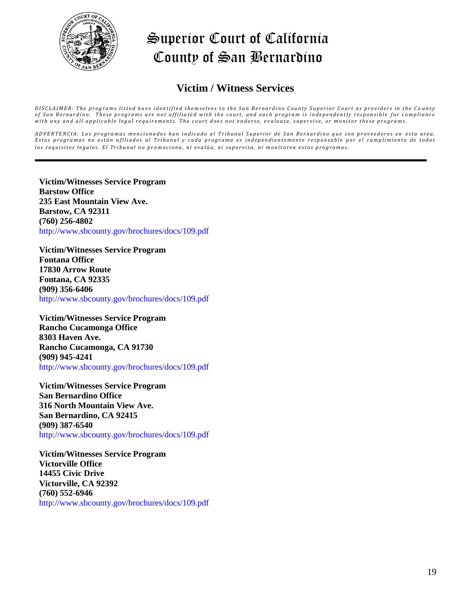

### **Victim / Witness Services**

DISCLAIMER: The programs listed have identified themselves to the San Bernardino County Superior Court as providers in the County of San Bernardino. These programs are not affiliated with the court, and each program is independently responsible for compliance with any and all applicable legal requirements. The court does not endorse, evaluate, supervise, or monitor these programs.

ADVERTENCIA: Los programas mencionados han indicado al Tribunal Superior de San Bernardino que son proveedores en esta area. Estos programas no están afiliados al Tribunal y cada programa es independientemente responsable por el cumplimiento de todos los requisites legales. El Tribunal no promociona, ni evalúa, ni supervisa, ni monitorea estos programas.

**Victim/Witnesses Service Program Barstow Office 235 East Mountain View Ave. Barstow, CA 92311 (760) 256-4802** http://www.sbcounty.gov/brochures/docs/109.pdf

**Victim/Witnesses Service Program Fontana Office 17830 Arrow Route Fontana, CA 92335 (909) 356-6406** http://www.sbcounty.gov/brochures/docs/109.pdf

**Victim/Witnesses Service Program Rancho Cucamonga Office 8303 Haven Ave. Rancho Cucamonga, CA 91730 (909) 945-4241** http://www.sbcounty.gov/brochures/docs/109.pdf

**Victim/Witnesses Service Program San Bernardino Office 316 North Mountain View Ave. San Bernardino, CA 92415 (909) 387-6540** http://www.sbcounty.gov/brochures/docs/109.pdf

**Victim/Witnesses Service Program Victorville Office 14455 Civic Drive Victorville, CA 92392 (760) 552-6946** http://www.sbcounty.gov/brochures/docs/109.pdf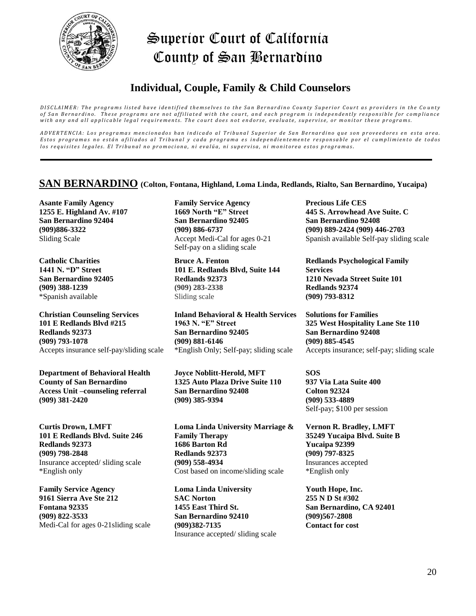

## **Individual, Couple, Family & Child Counselors**

DISCLAIMER: The programs listed have identified themselves to the San Bernardino County Superior Court as providers in the County of San Bernardino. These programs are not affiliated with the court, and each program is independently responsible for compliance with any and all applicable legal requirements. The court does not endorse, evaluate, supervise, or monitor these programs.

ADVERTENCIA: Los programas mencionados han indicado al Tribunal Superior de San Bernardino que son proveedores en esta area. Estos programas no están afiliados al Tribunal y cada programa es independientemente responsable por el cumplimiento de todos los requisites legales. El Tribunal no promociona, ni evalúa, ni supervisa, ni monitorea estos programas.

#### **SAN BERNARDINO (Colton, Fontana, Highland, Loma Linda, Redlands, Rialto, San Bernardino, Yucaipa)**

**Asante Family Agency 1255 E. Highland Av. #107 San Bernardino 92404 (909)886-3322** Sliding Scale

**Catholic Charities 1441 N. "D" Street San Bernardino 92405 (909) 388-1239** \*Spanish available

**Christian Counseling Services 101 E Redlands Blvd #215 Redlands 92373 (909) 793-1078** Accepts insurance self-pay/sliding scale

**Department of Behavioral Health County of San Bernardino Access Unit –counseling referral (909) 381-2420**

**Curtis Drown, LMFT 101 E Redlands Blvd. Suite 246 Redlands 92373 (909) 798-2848**  Insurance accepted/ sliding scale \*English only

**Family Service Agency 9161 Sierra Ave Ste 212 Fontana 92335 (909) 822-3533** Medi-Cal for ages 0-21sliding scale

**Family Service Agency 1669 North "E" Street San Bernardino 92405 (909) 886-6737** Accept Medi-Cal for ages 0-21 Self-pay on a sliding scale

**Bruce A. Fenton 101 E. Redlands Blvd, Suite 144 Redlands 92373 (909) 283-2338**  Sliding scale

**Inland Behavioral & Health Services 1963 N. "E" Street San Bernardino 92405 (909) 881-6146** \*English Only; Self-pay; sliding scale

**Joyce Noblitt-Herold, MFT 1325 Auto Plaza Drive Suite 110 San Bernardino 92408 (909) 385-9394** 

**Loma Linda University Marriage & Family Therapy 1686 Barton Rd Redlands 92373 (909) 558-4934** Cost based on income/sliding scale

**Loma Linda University SAC Norton 1455 East Third St. San Bernardino 92410 (909)382-7135** Insurance accepted/ sliding scale **Precious Life CES 445 S. Arrowhead Ave Suite. C San Bernardino 92408 (909) 889-2424 (909) 446-2703** Spanish available Self-pay sliding scale

**Redlands Psychological Family Services 1210 Nevada Street Suite 101 Redlands 92374 (909) 793-8312** 

**Solutions for Families 325 West Hospitality Lane Ste 110 San Bernardino 92408 (909) 885-4545** Accepts insurance; self-pay; sliding scale

**SOS 937 Via Lata Suite 400 Colton 92324 (909) 533-4889** Self-pay; \$100 per session

**Vernon R. Bradley, LMFT 35249 Yucaipa Blvd. Suite B Yucaipa 92399 (909) 797-8325**  Insurances accepted \*English only

**Youth Hope, Inc. 255 N D St #302 San Bernardino, CA 92401 (909)567-2808 Contact for cost**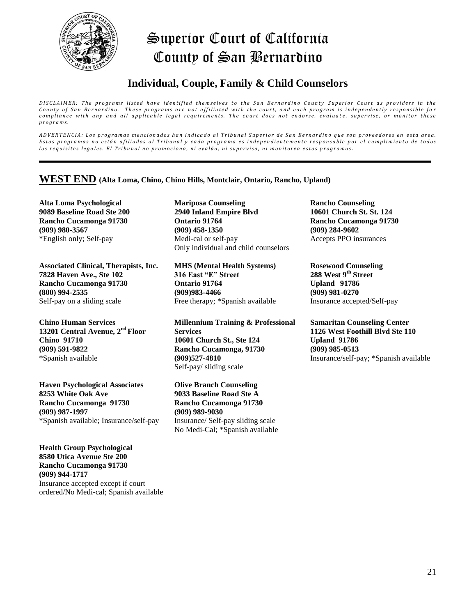

## **Individual, Couple, Family & Child Counselors**

*DISCLAIMER: The programs listed have identified themselves to the San Bernardino County Superior Court as providers in the* County of San Bernardino. These programs are not affiliated with the court, and each program is independently responsible for compliance with any and all applicable legal requirements. The court does not endorse, evaluate, supervise, or monitor these *p r o g r a m s .*

ADVERTENCIA: Los programas mencionados han indicado al Tribunal Superior de San Bernardino que son proveedores en esta area. Estos programas no están afiliados al Tribunal y cada programa es independientemente responsable por el cumplimiento de todos los requisites legales. El Tribunal no promociona, ni evalúa, ni supervisa, ni monitorea estos programas.

#### **WEST END (Alta Loma, Chino, Chino Hills, Montclair, Ontario, Rancho, Upland)**

**Alta Loma Psychological 9089 Baseline Road Ste 200 Rancho Cucamonga 91730 (909) 980-3567**  \*English only; Self-pay

**Associated Clinical, Therapists, Inc. 7828 Haven Ave., Ste 102 Rancho Cucamonga 91730 (800) 994-2535**  Self-pay on a sliding scale

**Chino Human Services 13201 Central Avenue, 2nd Floor Chino 91710 (909) 591-9822** \*Spanish available

**Haven Psychological Associates 8253 White Oak Ave Rancho Cucamonga 91730 (909) 987-1997** \*Spanish available; Insurance/self-pay

**Health Group Psychological 8580 Utica Avenue Ste 200 Rancho Cucamonga 91730 (909) 944-1717**  Insurance accepted except if court ordered/No Medi-cal; Spanish available

**Mariposa Counseling 2940 Inland Empire Blvd Ontario 91764 (909) 458-1350**  Medi-cal or self-pay Only individual and child counselors

**MHS (Mental Health Systems) 316 East "E" Street Ontario 91764 (909)983-4466**  Free therapy; \*Spanish available

**Millennium Training & Professional Services 10601 Church St., Ste 124 Rancho Cucamonga, 91730 (909)527-4810** Self-pay/ sliding scale

**Olive Branch Counseling 9033 Baseline Road Ste A Rancho Cucamonga 91730 (909) 989-9030** Insurance/ Self-pay sliding scale No Medi-Cal; \*Spanish available

**Rancho Counseling 10601 Church St. St. 124 Rancho Cucamonga 91730 (909) 284-9602** Accepts PPO insurances

**Rosewood Counseling 288 West 9th Street Upland 91786 (909) 981-0270** Insurance accepted/Self-pay

**Samaritan Counseling Center 1126 West Foothill Blvd Ste 110 Upland 91786 (909) 985-0513**  Insurance/self-pay; \*Spanish available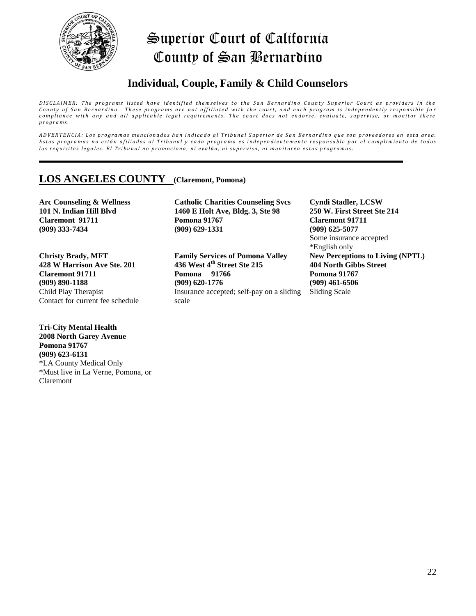

## **Individual, Couple, Family & Child Counselors**

DISCLAIMER: The programs listed have identified themselves to the San Bernardino County Superior Court as providers in the County of San Bernardino. These programs are not affiliated with the court, and each program is independently responsible for *compliance with any and all applicable legal requirements. The court does not endorse, evaluate, supervise, or monitor these p r o g r a m s .*

ADVERTENCIA: Los programas mencionados han indicado al Tribunal Superior de San Bernardino que son proveedores en esta area. Estos programas no están afiliados al Tribunal y cada programa es independientemente responsable por el cumplimiento de todos los requisites legales. El Tribunal no promociona, ni evalúa, ni supervisa, ni monitorea estos programas.

### **LOS ANGELES COUNTY (Claremont, Pomona)**

**Arc Counseling & Wellness 101 N. Indian Hill Blvd Claremont 91711 (909) 333-7434**

**Christy Brady, MFT 428 W Harrison Ave Ste. 201 Claremont 91711 (909) 890-1188**  Child Play Therapist Contact for current fee schedule

**Tri-City Mental Health 2008 North Garey Avenue Pomona 91767 (909) 623-6131**  \*LA County Medical Only \*Must live in La Verne, Pomona, or Claremont

**Catholic Charities Counseling Svcs 1460 E Holt Ave, Bldg. 3, Ste 98 Pomona 91767 (909) 629-1331**

**Family Services of Pomona Valley 436 West 4th Street Ste 215 Pomona 91766 (909) 620-1776** Insurance accepted; self-pay on a sliding scale

**Cyndi Stadler, LCSW 250 W. First Street Ste 214 Claremont 91711 (909) 625-5077**  Some insurance accepted \*English only **New Perceptions to Living (NPTL) 404 North Gibbs Street Pomona 91767 (909) 461-6506** Sliding Scale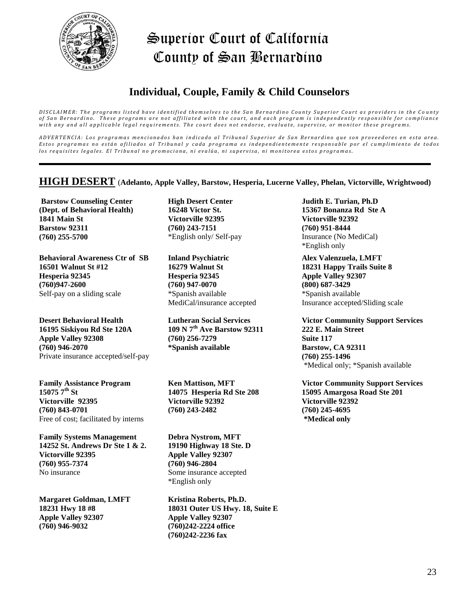

# **Individual, Couple, Family & Child Counselors**

DISCLAIMER: The programs listed have identified themselves to the San Bernardino County Superior Court as providers in the County of San Bernardino. These programs are not affiliated with the court, and each program is independently responsible for compliance with any and all applicable legal requirements. The court does not endorse, evaluate, supervise, or monitor these programs.

ADVERTENCIA: Los programas mencionados han indicado al Tribunal Superior de San Bernardino que son proveedores en esta area. Estos programas no están afiliados al Tribunal y cada programa es independientemente responsable por el cumplimiento de todos los requisites legales. El Tribunal no promociona, ni evalúa, ni supervisa, ni monitorea estos programas.

#### **HIGH DESERT** (**Adelanto, Apple Valley, Barstow, Hesperia, Lucerne Valley, Phelan, Victorville, Wrightwood)**

**Barstow Counseling Center (Dept. of Behavioral Health) 1841 Main St Barstow 92311 (760) 255-5700**

**Behavioral Awareness Ctr of SB 16501 Walnut St #12 Hesperia 92345 (760)947-2600** Self-pay on a sliding scale

**Desert Behavioral Health 16195 Siskiyou Rd Ste 120A Apple Valley 92308 (760) 946-2070**  Private insurance accepted/self-pay

**Family Assistance Program 15075 7th St Victorville 92395 (760) 843-0701** Free of cost; facilitated by interns

**Family Systems Management 14252 St. Andrews Dr Ste 1 & 2. Victorville 92395 (760) 955-7374** No insurance

**Margaret Goldman, LMFT 18231 Hwy 18 #8 Apple Valley 92307 (760) 946-9032** 

**High Desert Center 16248 Victor St. Victorville 92395 (760) 243-7151** \*English only/ Self-pay

**Inland Psychiatric 16279 Walnut St Hesperia 92345 (760) 947-0070**  \*Spanish available MediCal/insurance accepted

**Lutheran Social Services 109 N 7th Ave Barstow 92311 (760) 256-7279 \*Spanish available**

**Ken Mattison, MFT 14075 Hesperia Rd Ste 208 Victorville 92392 (760) 243-2482**

**Debra Nystrom, MFT 19190 Highway 18 Ste. D Apple Valley 92307 (760) 946-2804**  Some insurance accepted \*English only

**Kristina Roberts, Ph.D. 18031 Outer US Hwy. 18, Suite E Apple Valley 92307 (760)242-2224 office (760)242-2236 fax**

**Judith E. Turian, Ph.D 15367 Bonanza Rd Ste A Victorville 92392 (760) 951-8444**  Insurance (No MediCal) \*English only

**Alex Valenzuela, LMFT 18231 Happy Trails Suite 8 Apple Valley 92307 (800) 687-3429**  \*Spanish available Insurance accepted/Sliding scale

**Victor Community Support Services 222 E. Main Street Suite 117 Barstow, CA 92311 (760) 255-1496**  \*Medical only; \*Spanish available

**Victor Community Support Services 15095 Amargosa Road Ste 201 Victorville 92392 (760) 245-4695 \*Medical only**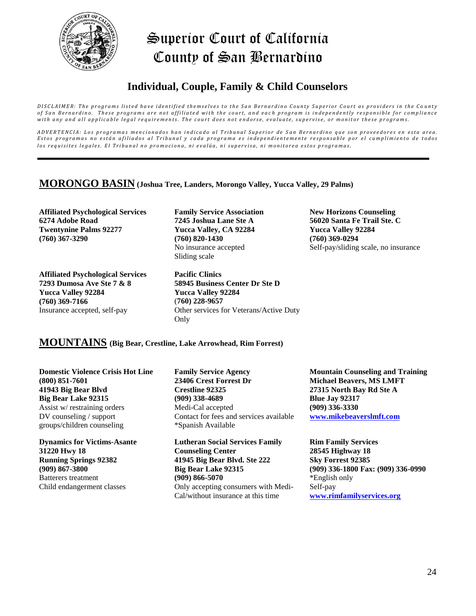

## **Individual, Couple, Family & Child Counselors**

DISCLAIMER: The programs listed have identified themselves to the San Bernardino County Superior Court as providers in the County of San Bernardino. These programs are not affiliated with the court, and each program is independently responsible for compliance with any and all applicable legal requirements. The court does not endorse, evaluate, supervise, or monitor these programs.

ADVERTENCIA: Los programas mencionados han indicado al Tribunal Superior de San Bernardino que son proveedores en esta area. Estos programas no están afiliados al Tribunal y cada programa es independientemente responsable por el cumplimiento de todos los requisites legales. El Tribunal no promociona, ni evalúa, ni supervisa, ni monitorea estos programas.

#### **MORONGO BASIN (Joshua Tree, Landers, Morongo Valley, Yucca Valley, 29 Palms)**

**Affiliated Psychological Services 6274 Adobe Road Twentynine Palms 92277 (760) 367-3290**

**Affiliated Psychological Services 7293 Dumosa Ave Ste 7 & 8 Yucca Valley 92284 (760) 369-7166** Insurance accepted, self-pay

**Family Service Association 7245 Joshua Lane Ste A Yucca Valley, CA 92284 (760) 820-1430**  No insurance accepted Sliding scale

**Pacific Clinics 58945 Business Center Dr Ste D Yucca Valley 92284** (**760) 228-9657** Other services for Veterans/Active Duty Only

**New Horizons Counseling 56020 Santa Fe Trail Ste. C Yucca Valley 92284 (760) 369-0294** Self-pay/sliding scale, no insurance

#### **MOUNTAINS (Big Bear, Crestline, Lake Arrowhead, Rim Forrest)**

**Domestic Violence Crisis Hot Line (800) 851-7601 41943 Big Bear Blvd Big Bear Lake 92315** Assist w/ restraining orders DV counseling / support groups/children counseling

**Dynamics for Victims-Asante 31220 Hwy 18 Running Springs 92382 (909) 867-3800** Batterers treatment Child endangerment classes

**Family Service Agency 23406 Crest Forrest Dr Crestline 92325 (909) 338-4689**  Medi-Cal accepted Contact for fees and services available \*Spanish Available

**Lutheran Social Services Family Counseling Center 41945 Big Bear Blvd. Ste 222 Big Bear Lake 92315 (909) 866-5070**  Only accepting consumers with Medi-Cal/without insurance at this time

**Mountain Counseling and Training Michael Beavers, MS LMFT 27315 North Bay Rd Ste A Blue Jay 92317 (909) 336-3330 [www.mikebeaverslmft.com](http://www.mikebeaverslmft.com/)**

**Rim Family Services 28545 Highway 18 Sky Forrest 92385 (909) 336-1800 Fax: (909) 336-0990** \*English only Self-pay **[www.rimfamilyservices.org](http://www.rimfamilyservices.org/)**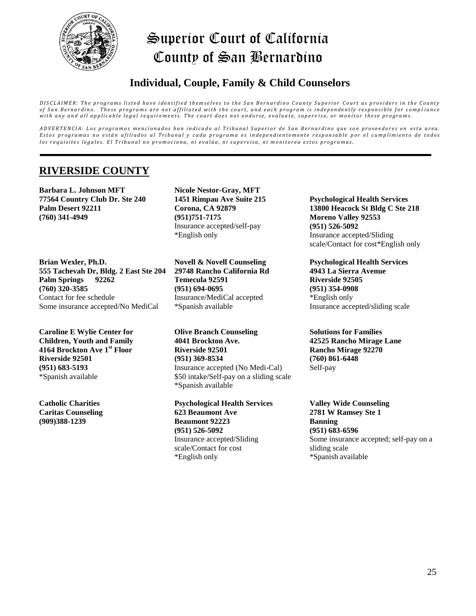

## **Individual, Couple, Family & Child Counselors**

DISCLAIMER: The programs listed have identified themselves to the San Bernardino County Superior Court as providers in the County of San Bernardino. These programs are not affiliated with the court, and each program is independently responsible for compliance with any and all applicable legal requirements. The court does not endorse, evaluate, supervise, or monitor these programs.

ADVERTENCIA: Los programas mencionados han indicado al Tribunal Superior de San Bernardino que son proveedores en esta area. Estos programas no están afiliados al Tribunal y cada programa es independientemente responsable por el cumplimiento de todos los requisites legales. El Tribunal no promociona, ni evalúa, ni supervisa, ni monitorea estos programas.

### **RIVERSIDE COUNTY**

**Barbara L. Johnson MFT 77564 Country Club Dr. Ste 240 Palm Desert 92211 (760) 341-4949**

**Brian Wexler, Ph.D. 555 Tachevah Dr, Bldg. 2 East Ste 204 Palm Springs 92262 (760) 320-3585**  Contact for fee schedule Some insurance accepted/No MediCal

**Caroline E Wylie Center for Children, Youth and Family 4164 Brockton Ave 1st Floor Riverside 92501 (951) 683-5193** \*Spanish available

**Catholic Charities Caritas Counseling (909)388-1239**

**Nicole Nestor-Gray, MFT 1451 Rimpau Ave Suite 215 Corona, CA 92879 (951)751-7175**  Insurance accepted/self-pay \*English only

**Novell & Novell Counseling 29748 Rancho California Rd Temecula 92591 (951) 694-0695** Insurance/MediCal accepted \*Spanish available

**Olive Branch Counseling 4041 Brockton Ave. Riverside 92501 (951) 369-8534** Insurance accepted (No Medi-Cal) \$50 intake/Self-pay on a sliding scale \*Spanish available

**Psychological Health Services 623 Beaumont Ave Beaumont 92223 (951) 526-5092**  Insurance accepted/Sliding scale/Contact for cost \*English only

**Psychological Health Services 13800 Heacock St Bldg C Ste 218 Moreno Valley 92553 (951) 526-5092**  Insurance accepted/Sliding scale/Contact for cost\*English only

**Psychological Health Services 4943 La Sierra Avenue Riverside 92505 (951) 354-0908**  \*English only Insurance accepted/sliding scale

**Solutions for Families 42525 Rancho Mirage Lane Rancho Mirage 92270 (760) 861-6448**  Self-pay

**Valley Wide Counseling 2781 W Ramsey Ste 1 Banning (951) 683-6596**  Some insurance accepted; self-pay on a sliding scale \*Spanish available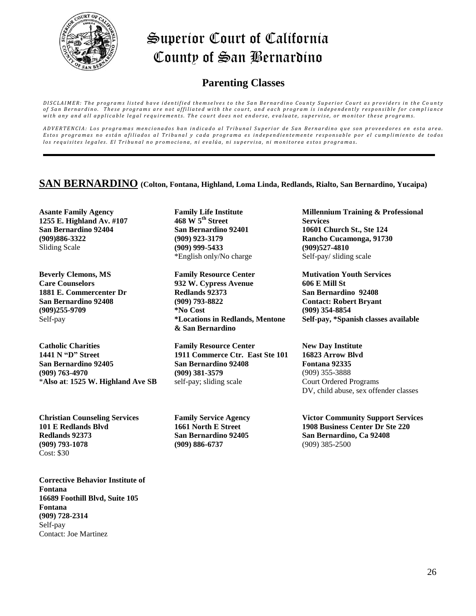

### **Parenting Classes**

DISCLAIMER: The programs listed have identified themselves to the San Bernardino County Superior Court as providers in the County of San Bernardino. These programs are not affiliated with the court, and each program is independently responsible for compliance with any and all applicable legal requirements. The court does not endorse, evaluate, supervise, or monitor these programs.

ADVERTENCIA: Los programas mencionados han indicado al Tribunal Superior de San Bernardino que son proveedores en esta area. Estos programas no están afiliados al Tribunal y cada programa es independientemente responsable por el cumplimiento de todos los requisites legales. El Tribunal no promociona, ni evalúa, ni supervisa, ni monitorea estos programas.

#### **SAN BERNARDINO (Colton, Fontana, Highland, Loma Linda, Redlands, Rialto, San Bernardino, Yucaipa)**

**Asante Family Agency 1255 E. Highland Av. #107 San Bernardino 92404 (909)886-3322** Sliding Scale

**Beverly Clemons, MS Care Counselors 1881 E. Commercenter Dr San Bernardino 92408 (909)255-9709** Self-pay

**Catholic Charities 1441 N "D" Street San Bernardino 92405 (909) 763-4970** \***Also at**: **1525 W. Highland Ave SB**

**Christian Counseling Services 101 E Redlands Blvd Redlands 92373 (909) 793-1078**  Cost: \$30

**Corrective Behavior Institute of Fontana 16689 Foothill Blvd, Suite 105 Fontana (909) 728-2314** Self-pay Contact: Joe Martinez

**Family Life Institute 468 W 5th Street San Bernardino 92401 (909) 923-3179 (909) 999-5433** \*English only/No charge

**Family Resource Center 932 W. Cypress Avenue Redlands 92373 (909) 793-8822 \*No Cost \*Locations in Redlands, Mentone & San Bernardino**

**Family Resource Center 1911 Commerce Ctr. East Ste 101 San Bernardino 92408 (909) 381-3579** self-pay; sliding scale

**Family Service Agency 1661 North E Street San Bernardino 92405 (909) 886-6737**

**Millennium Training & Professional Services 10601 Church St., Ste 124 Rancho Cucamonga, 91730 (909)527-4810** Self-pay/ sliding scale

**Mutivation Youth Services 606 E Mill St San Bernardino 92408 Contact: Robert Bryant (909) 354-8854 Self-pay, \*Spanish classes available**

**New Day Institute 16823 Arrow Blvd Fontana 92335** (909) 355-3888 Court Ordered Programs DV, child abuse, sex offender classes

**Victor Community Support Services 1908 Business Center Dr Ste 220 San Bernardino, Ca 92408** (909) 385-2500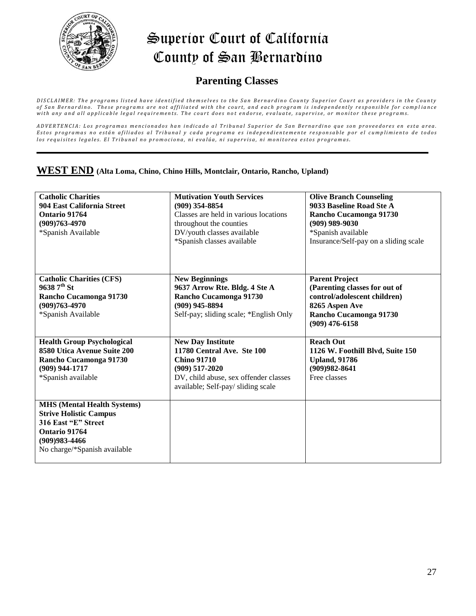

### **Parenting Classes**

DISCLAIMER: The programs listed have identified themselves to the San Bernardino County Superior Court as providers in the County of San Bernardino. These programs are not affiliated with the court, and each program is independently responsible for compliance with any and all applicable legal requirements. The court does not endorse, evaluate, supervise, or monitor these programs.

ADVERTENCIA: Los programas mencionados han indicado al Tribunal Superior de San Bernardino que son proveedores en esta area. Estos programas no están afiliados al Tribunal y cada programa es independientemente responsable por el cumplimiento de todos los requisites legales. El Tribunal no promociona, ni evalúa, ni supervisa, ni monitorea estos programas.

# **WEST END (Alta Loma, Chino, Chino Hills, Montclair, Ontario, Rancho, Upland) WEST END (Alta Loma, Chino, Chino Hills, Montclair, Ontario, Rancho, Upland)**

| <b>Catholic Charities</b><br>904 East California Street<br>Ontario 91764<br>(909)763-4970<br>*Spanish Available                                                  | <b>Mutivation Youth Services</b><br>$(909)$ 354-8854<br>Classes are held in various locations<br>throughout the counties<br>DV/youth classes available<br>*Spanish classes available | <b>Olive Branch Counseling</b><br>9033 Baseline Road Ste A<br>Rancho Cucamonga 91730<br>$(909)$ 989-9030<br>*Spanish available<br>Insurance/Self-pay on a sliding scale |
|------------------------------------------------------------------------------------------------------------------------------------------------------------------|--------------------------------------------------------------------------------------------------------------------------------------------------------------------------------------|-------------------------------------------------------------------------------------------------------------------------------------------------------------------------|
| <b>Catholic Charities (CFS)</b><br>$96387^{\text{th}}$ St<br>Rancho Cucamonga 91730<br>$(909)763 - 4970$<br>*Spanish Available                                   | <b>New Beginnings</b><br>9637 Arrow Rte. Bldg. 4 Ste A<br>Rancho Cucamonga 91730<br>$(909)$ 945-8894<br>Self-pay; sliding scale; *English Only                                       | <b>Parent Project</b><br>(Parenting classes for out of<br>control/adolescent children)<br>8265 Aspen Ave<br>Rancho Cucamonga 91730<br>$(909)$ 476-6158                  |
| <b>Health Group Psychological</b><br>8580 Utica Avenue Suite 200<br>Rancho Cucamonga 91730<br>(909) 944-1717<br>*Spanish available                               | <b>New Day Institute</b><br>11780 Central Ave. Ste 100<br><b>Chino 91710</b><br>$(909)$ 517-2020<br>DV, child abuse, sex offender classes<br>available; Self-pay/ sliding scale      | <b>Reach Out</b><br>1126 W. Foothill Blvd, Suite 150<br><b>Upland, 91786</b><br>$(909)982 - 8641$<br>Free classes                                                       |
| <b>MHS</b> (Mental Health Systems)<br><b>Strive Holistic Campus</b><br>316 East "E" Street<br>Ontario 91764<br>$(909)983 - 4466$<br>No charge/*Spanish available |                                                                                                                                                                                      |                                                                                                                                                                         |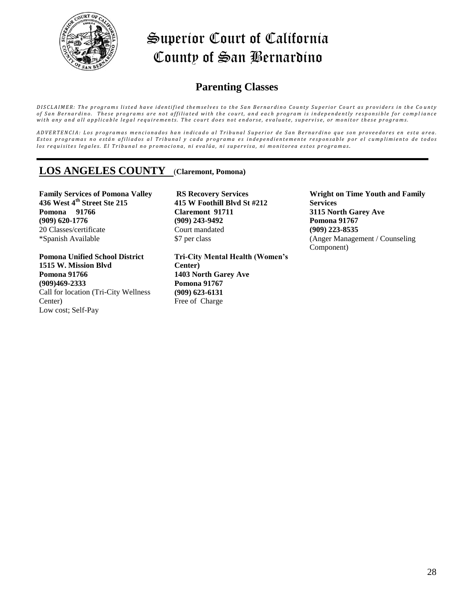

### **Parenting Classes**

DISCLAIMER: The programs listed have identified themselves to the San Bernardino County Superior Court as providers in the County of San Bernardino. These programs are not affiliated with the court, and each program is independently responsible for compliance with any and all applicable legal requirements. The court does not endorse, evaluate, supervise, or monitor these programs.

ADVERTENCIA: Los programas mencionados han indicado al Tribunal Superior de San Bernardino que son proveedores en esta area. Estos programas no están afiliados al Tribunal y cada programa es independientemente responsable por el cumplimiento de todos los requisites legales. El Tribunal no promociona, ni evalúa, ni supervisa, ni monitorea estos programas.

### **LOS ANGELES COUNTY** (**Claremont, Pomona)**

**Family Services of Pomona Valley 436 West 4th Street Ste 215 Pomona 91766 (909) 620-1776**  20 Classes/certificate \*Spanish Available

**Pomona Unified School District 1515 W. Mission Blvd Pomona 91766 (909)469-2333**  Call for location (Tri-City Wellness Center) Low cost; Self-Pay

**RS Recovery Services 415 W Foothill Blvd St #212 Claremont 91711 (909) 243-9492** Court mandated \$7 per class

**Tri-City Mental Health (Women's Center) 1403 North Garey Ave Pomona 91767 (909) 623-6131** Free of Charge

**Wright on Time Youth and Family Services 3115 North Garey Ave Pomona 91767 (909) 223-8535** (Anger Management / Counseling Component)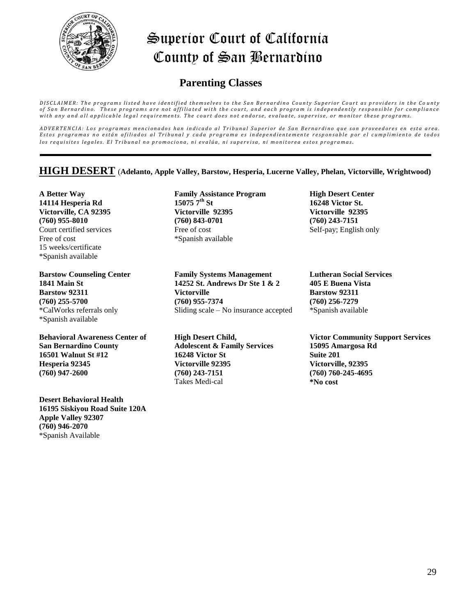

### **Parenting Classes**

DISCLAIMER: The programs listed have identified themselves to the San Bernardino County Superior Court as providers in the County of San Bernardino. These programs are not affiliated with the court, and each program is independently responsible for compliance with any and all applicable legal requirements. The court does not endorse, evaluate, supervise, or monitor these programs.

ADVERTENCIA: Los programas mencionados han indicado al Tribunal Superior de San Bernardino que son proveedores en esta area. Estos programas no están afiliados al Tribunal y cada programa es independientemente responsable por el cumplimiento de todos los requisites legales. El Tribunal no promociona, ni evalúa, ni supervisa, ni monitorea estos programas.

#### **HIGH DESERT** (**Adelanto, Apple Valley, Barstow, Hesperia, Lucerne Valley, Phelan, Victorville, Wrightwood)**

**A Better Way 14114 Hesperia Rd Victorville, CA 92395 (760) 955-8010** Court certified services Free of cost 15 weeks/certificate \*Spanish available

**Barstow Counseling Center 1841 Main St Barstow 92311 (760) 255-5700** \*CalWorks referrals only \*Spanish available

**Behavioral Awareness Center of San Bernardino County 16501 Walnut St #12 Hesperia 92345 (760) 947-2600** 

**Desert Behavioral Health 16195 Siskiyou Road Suite 120A Apple Valley 92307 (760) 946-2070**  \*Spanish Available

**Family Assistance Program 15075 7th St Victorville 92395 (760) 843-0701**  Free of cost \*Spanish available

**Family Systems Management 14252 St. Andrews Dr Ste 1 & 2 Victorville (760) 955-7374** Sliding scale – No insurance accepted

**High Desert Child, Adolescent & Family Services 16248 Victor St Victorville 92395 (760) 243-7151** Takes Medi-cal

**High Desert Center 16248 Victor St. Victorville 92395 (760) 243-7151** Self-pay; English only

**Lutheran Social Services 405 E Buena Vista Barstow 92311 (760) 256-7279** \*Spanish available

**Victor Community Support Services 15095 Amargosa Rd Suite 201 Victorville, 92395 (760) 760-245-4695 \*No cost**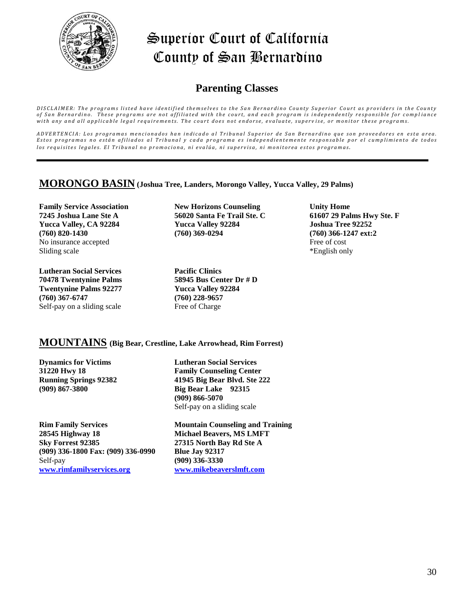

### **Parenting Classes**

DISCLAIMER: The programs listed have identified themselves to the San Bernardino County Superior Court as providers in the County of San Bernardino. These programs are not affiliated with the court, and each program is independently responsible for compliance with any and all applicable legal requirements. The court does not endorse, evaluate, supervise, or monitor these programs.

ADVERTENCIA: Los programas mencionados han indicado al Tribunal Superior de San Bernardino que son proveedores en esta area. Estos programas no están afiliados al Tribunal y cada programa es independientemente responsable por el cumplimiento de todos los requisites legales. El Tribunal no promociona, ni evalúa, ni supervisa, ni monitorea estos programas.

#### **MORONGO BASIN (Joshua Tree, Landers, Morongo Valley, Yucca Valley, 29 Palms)**

**Family Service Association 7245 Joshua Lane Ste A Yucca Valley, CA 92284 (760) 820-1430**  No insurance accepted Sliding scale

**Lutheran Social Services 70478 Twentynine Palms Twentynine Palms 92277 (760) 367-6747** Self-pay on a sliding scale

**New Horizons Counseling 56020 Santa Fe Trail Ste. C Yucca Valley 92284 (760) 369-0294** 

**Pacific Clinics 58945 Bus Center Dr # D Yucca Valley 92284 (760) 228-9657** Free of Charge

**Unity Home 61607 29 Palms Hwy Ste. F Joshua Tree 92252 (760) 366-1247 ext:2**  Free of cost \*English only

#### **MOUNTAINS (Big Bear, Crestline, Lake Arrowhead, Rim Forrest)**

**Dynamics for Victims 31220 Hwy 18 Running Springs 92382 (909) 867-3800**

**Lutheran Social Services Family Counseling Center 41945 Big Bear Blvd. Ste 222 Big Bear Lake 92315 (909) 866-5070**  Self-pay on a sliding scale

**Rim Family Services 28545 Highway 18 Sky Forrest 92385 (909) 336-1800 Fax: (909) 336-0990** Self-pay **[www.rimfamilyservices.org](http://www.rimfamilyservices.org/)**

**Mountain Counseling and Training Michael Beavers, MS LMFT 27315 North Bay Rd Ste A Blue Jay 92317 (909) 336-3330 [www.mikebeaverslmft.com](http://www.mikebeaverslmft.com/)**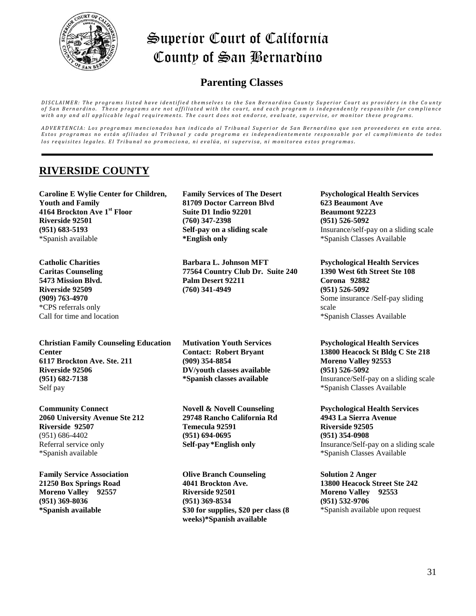

### **Parenting Classes**

DISCLAIMER: The programs listed have identified themselves to the San Bernardino County Superior Court as providers in the County of San Bernardino. These programs are not affiliated with the court, and each program is independently responsible for compliance with any and all applicable legal requirements. The court does not endorse, evaluate, supervise, or monitor these programs.

ADVERTENCIA: Los programas mencionados han indicado al Tribunal Superior de San Bernardino que son proveedores en esta area. Estos programas no están afiliados al Tribunal y cada programa es independientemente responsable por el cumplimiento de todos los requisites legales. El Tribunal no promociona, ni evalúa, ni supervisa, ni monitorea estos programas.

### **RIVERSIDE COUNTY**

**Caroline E Wylie Center for Children, Youth and Family 4164 Brockton Ave 1st Floor Riverside 92501 (951) 683-5193** \*Spanish available

**Catholic Charities Caritas Counseling 5473 Mission Blvd. Riverside 92509 (909) 763-4970** \*CPS referrals only Call for time and location

**Christian Family Counseling Education Center 6117 Brockton Ave. Ste. 211 Riverside 92506 (951) 682-7138** Self pay

**Community Connect 2060 University Avenue Ste 212 Riverside 92507** (951) 686-4402 Referral service only \*Spanish available

**Family Service Association 21250 Box Springs Road Moreno Valley 92557 (951) 369-8036 \*Spanish available**

**Family Services of The Desert 81709 Doctor Carreon Blvd Suite D1 Indio 92201 (760) 347-2398 Self-pay on a sliding scale \*English only**

**Barbara L. Johnson MFT 77564 Country Club Dr. Suite 240 Palm Desert 92211 (760) 341-4949** 

**Mutivation Youth Services Contact: Robert Bryant (909) 354-8854 DV/youth classes available \*Spanish classes available**

**Novell & Novell Counseling 29748 Rancho California Rd Temecula 92591 (951) 694-0695 Self-pay\*English only**

**Olive Branch Counseling 4041 Brockton Ave. Riverside 92501 (951) 369-8534 \$30 for supplies, \$20 per class (8 weeks)\*Spanish available**

**Psychological Health Services 623 Beaumont Ave Beaumont 92223 (951) 526-5092** Insurance/self-pay on a sliding scale \*Spanish Classes Available

**Psychological Health Services 1390 West 6th Street Ste 108 Corona 92882 (951) 526-5092**  Some insurance /Self-pay sliding scale \*Spanish Classes Available

**Psychological Health Services 13800 Heacock St Bldg C Ste 218 Moreno Valley 92553 (951) 526-5092**  Insurance/Self-pay on a sliding scale \*Spanish Classes Available

**Psychological Health Services 4943 La Sierra Avenue Riverside 92505 (951) 354-0908**  Insurance/Self-pay on a sliding scale \*Spanish Classes Available

**Solution 2 Anger 13800 Heacock Street Ste 242 Moreno Valley 92553 (951) 532-9706**  \*Spanish available upon request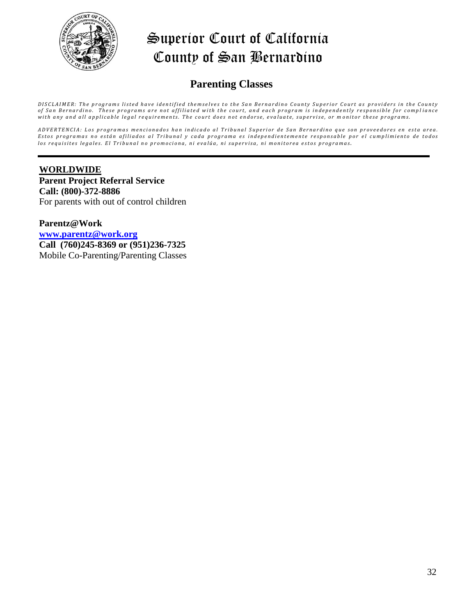

### **Parenting Classes**

DISCLAIMER: The programs listed have identified themselves to the San Bernardino County Superior Court as providers in the County of San Bernardino. These programs are not affiliated with the court, and each program is independently responsible for compliance with any and all applicable legal requirements. The court does not endorse, evaluate, supervise, or monitor these programs.

ADVERTENCIA: Los programas mencionados han indicado al Tribunal Superior de San Bernardino que son proveedores en esta area. Estos programas no están afiliados al Tribunal y cada programa es independientemente responsable por el cumplimiento de todos los requisites legales. El Tribunal no promociona, ni evalúa, ni supervisa, ni monitorea estos programas.

#### **WORLDWIDE Parent Project Referral Service Call: (800)-372-8886**  For parents with out of control children

**Parentz@Work [www.parentz@work.org](http://www.parentz@work.org/) Call (760)245-8369 or (951)236-7325**  Mobile Co-Parenting/Parenting Classes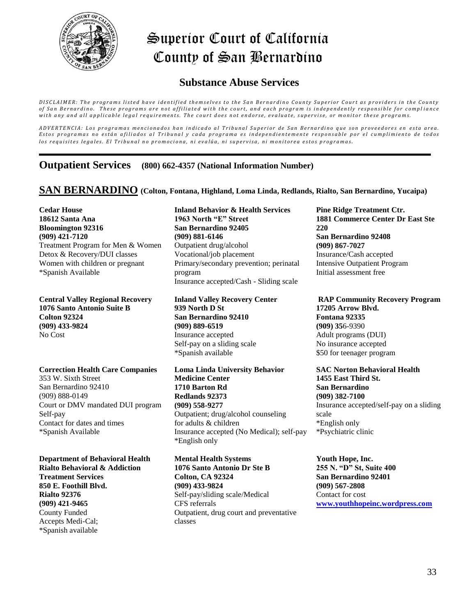

### **Substance Abuse Services**

.<br>DISCLAIMER: The programs listed have identified themselves to the San Bernardino County Superior Court as providers in the County of San Bernardino. These programs are not affiliated with the court, and each program is independently responsible for compliance with any and all applicable legal requirements. The court does not endorse, evaluate, supervise, or monitor these programs.

ADVERTENCIA: Los programas mencionados han indicado al Tribunal Superior de San Bernardino que son proveedores en esta area. Estos programas no están afiliados al Tribunal y cada programa es independientemente responsable por el cumplimiento de todos los requisites legales. El Tribunal no promociona, ni evalúa, ni supervisa, ni monitorea estos programas.

**Outpatient Services (800) 662-4357 (National Information Number)**

**SAN BERNARDINO (Colton, Fontana, Highland, Loma Linda, Redlands, Rialto, San Bernardino, Yucaipa)**

**Cedar House 18612 Santa Ana Bloomington 92316 (909) 421-7120** Treatment Program for Men & Women Detox & Recovery/DUI classes Women with children or pregnant \*Spanish Available

**Central Valley Regional Recovery 1076 Santo Antonio Suite B Colton 92324 (909) 433-9824**  No Cost

**Correction Health Care Companies** 

353 W. Sixth Street San Bernardino 92410 (909) 888-0149 Court or DMV mandated DUI program Self-pay Contact for dates and times \*Spanish Available

**Department of Behavioral Health Rialto Behavioral & Addiction Treatment Services 850 E. Foothill Blvd. Rialto 92376 (909) 421-9465** County Funded Accepts Medi-Cal; \*Spanish available

**Inland Behavior & Health Services 1963 North "E" Street San Bernardino 92405 (909) 881-6146** Outpatient drug/alcohol Vocational/job placement Primary/secondary prevention; perinatal program Insurance accepted/Cash - Sliding scale

**Inland Valley Recovery Center 939 North D St San Bernardino 92410 (909) 889-6519**  Insurance accepted Self-pay on a sliding scale \*Spanish available

**Loma Linda University Behavior Medicine Center 1710 Barton Rd Redlands 92373 (909) 558-9277**  Outpatient; drug/alcohol counseling for adults & children Insurance accepted (No Medical); self-pay \*English only

**Mental Health Systems 1076 Santo Antonio Dr Ste B Colton, CA 92324 (909) 433-9824**  Self-pay/sliding scale/Medical CFS referrals Outpatient, drug court and preventative classes

**Pine Ridge Treatment Ctr. 1881 Commerce Center Dr East Ste 220 San Bernardino 92408 (909) 867-7027**  Insurance/Cash accepted Intensive Outpatient Program Initial assessment free

**RAP Community Recovery Program 17205 Arrow Blvd. Fontana 92335 (909) 35**6-9390 Adult programs (DUI) No insurance accepted \$50 for teenager program

**SAC Norton Behavioral Health 1455 East Third St. San Bernardino (909) 382-7100** Insurance accepted/self-pay on a sliding scale \*English only \*Psychiatric clinic

**Youth Hope, Inc. 255 N. "D" St, Suite 400 San Bernardino 92401 (909) 567-2808** Contact for cost **[www.youthhopeinc.wordpress.com](http://www.youthhopeinc.wordpress.com/)**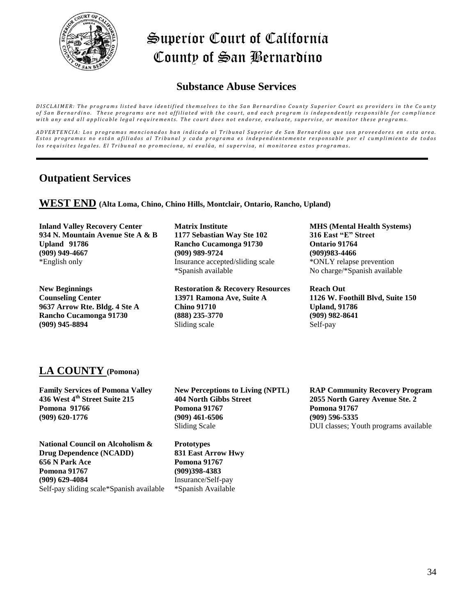

### **Substance Abuse Services**

DISCLAIMER: The programs listed have identified themselves to the San Bernardino County Superior Court as providers in the County of San Bernardino. These programs are not affiliated with the court, and each program is independently responsible for compliance with any and all applicable legal requirements. The court does not endorse, evaluate, supervise, or monitor these programs.

ADVERTENCIA: Los programas mencionados han indicado al Tribunal Superior de San Bernardino que son proveedores en esta area. Estos programas no están afiliados al Tribunal y cada programa es independientemente responsable por el cumplimiento de todos los requisites legales. El Tribunal no promociona, ni evalúa, ni supervisa, ni monitorea estos programas.

### **Outpatient Services**

**WEST END (Alta Loma, Chino, Chino Hills, Montclair, Ontario, Rancho, Upland)**

**Inland Valley Recovery Center 934 N. Mountain Avenue Ste A & B Upland 91786 (909) 949-4667** \*English only

**New Beginnings Counseling Center 9637 Arrow Rte. Bldg. 4 Ste A Rancho Cucamonga 91730 (909) 945-8894**

**Matrix Institute 1177 Sebastian Way Ste 102 Rancho Cucamonga 91730 (909) 989-9724**  Insurance accepted/sliding scale \*Spanish available

**Restoration & Recovery Resources 13971 Ramona Ave, Suite A Chino 91710 (888) 235-3770**  Sliding scale

**MHS (Mental Health Systems) 316 East "E" Street Ontario 91764 (909)983-4466** \*ONLY relapse prevention No charge/\*Spanish available

**Reach Out 1126 W. Foothill Blvd, Suite 150 Upland, 91786 (909) 982-8641**  Self-pay

# **LA COUNTY (Pomona)**

**Family Services of Pomona Valley 436 West 4th Street Suite 215 Pomona 91766 (909) 620-1776**

**National Council on Alcoholism & Drug Dependence (NCADD) 656 N Park Ace Pomona 91767 (909) 629-4084** Self-pay sliding scale\*Spanish available **New Perceptions to Living (NPTL) 404 North Gibbs Street Pomona 91767 (909) 461-6506** Sliding Scale

**Prototypes 831 East Arrow Hwy Pomona 91767 (909)398-4383** Insurance/Self-pay \*Spanish Available

**RAP Community Recovery Program 2055 North Garey Avenue Ste. 2 Pomona 91767 (909) 596-5335**  DUI classes; Youth programs available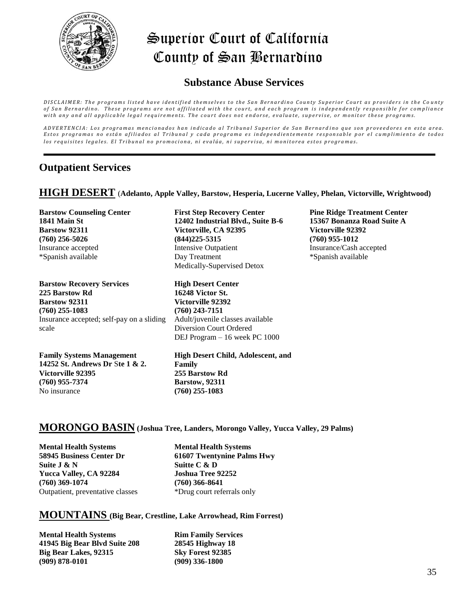

### **Substance Abuse Services**

DISCLAIMER: The programs listed have identified themselves to the San Bernardino County Superior Court as providers in the County of San Bernardino. These programs are not affiliated with the court, and each program is independently responsible for compliance with any and all applicable legal requirements. The court does not endorse, evaluate, supervise, or monitor these programs.

ADVERTENCIA: Los programas mencionados han indicado al Tribunal Superior de San Bernardino que son proveedores en esta area. Estos programas no están afiliados al Tribunal y cada programa es independientemente responsable por el cumplimiento de todos los requisites legales. El Tribunal no promociona, ni evalúa, ni supervisa, ni monitorea estos programas.

#### **Outpatient Services**

**HIGH DESERT** (**Adelanto, Apple Valley, Barstow, Hesperia, Lucerne Valley, Phelan, Victorville, Wrightwood)**

**Barstow Counseling Center 1841 Main St Barstow 92311 (760) 256-5026**  Insurance accepted \*Spanish available **First Step Recovery Center 12402 Industrial Blvd., Suite B-6 Victorville, CA 92395 (844)225-5315** Intensive Outpatient Day Treatment Medically-Supervised Detox **Pine Ridge Treatment Center 15367 Bonanza Road Suite A Victorville 92392 (760) 955-1012**  Insurance/Cash accepted \*Spanish available **Barstow Recovery Services 225 Barstow Rd Barstow 92311 (760) 255-1083**  Insurance accepted; self-pay on a sliding scale **High Desert Center 16248 Victor St. Victorville 92392 (760) 243-7151**  Adult/juvenile classes available Diversion Court Ordered DEJ Program – 16 week PC 1000 **Family Systems Management 14252 St. Andrews Dr** S**te 1 & 2. Victorville 92395 (760) 955-7374 High Desert Child, Adolescent, and Family 255 Barstow Rd Barstow, 92311**

#### **MORONGO BASIN (Joshua Tree, Landers, Morongo Valley, Yucca Valley, 29 Palms)**

**(760) 255-1083**

**Mental Health Systems 58945 Business Center Dr Suite J & N Yucca Valley, CA 92284 (760) 369-1074**  Outpatient, preventative classes

No insurance

**Mental Health Systems 61607 Twentynine Palms Hwy Suitte C & D Joshua Tree 92252 (760) 366-8641** \*Drug court referrals only

#### **MOUNTAINS (Big Bear, Crestline, Lake Arrowhead, Rim Forrest)**

**Mental Health Systems 41945 Big Bear Blvd Suite 208 Big Bear Lakes, 92315 (909) 878-0101**

**Rim Family Services 28545 Highway 18 Sky Forest 92385 (909) 336-1800**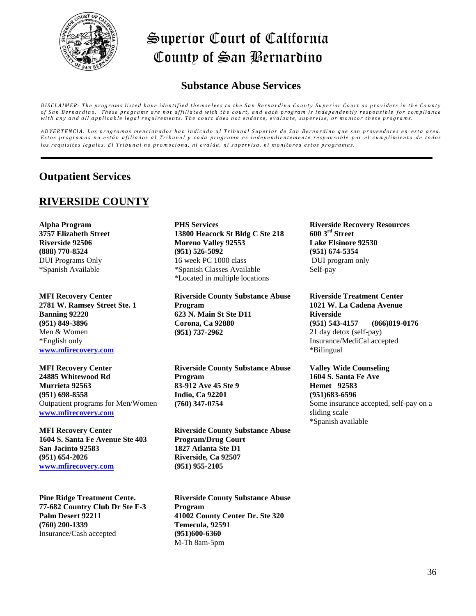

# **Substance Abuse Services**

DISCLAIMER: The programs listed have identified themselves to the San Bernardino County Superior Court as providers in the County of San Bernardino. These programs are not affiliated with the court, and each program is independently responsible for compliance with any and all applicable legal requirements. The court does not endorse, evaluate, supervise, or monitor these programs.

ADVERTENCIA: Los programas mencionados han indicado al Tribunal Superior de San Bernardino que son proveedores en esta area. Estos programas no están afiliados al Tribunal y cada programa es independientemente responsable por el cumplimiento de todos los requisites legales. El Tribunal no promociona, ni evalúa, ni supervisa, ni monitorea estos programas.

### **Outpatient Services**

### **RIVERSIDE COUNTY**

**Alpha Program 3757 Elizabeth Street Riverside 92506 (888) 770-8524** DUI Programs Only \*Spanish Available

**MFI Recovery Center 2781 W. Ramsey Street Ste. 1 Banning 92220 (951) 849-3896**  Men & Women \*English only **[www.mfirecovery.com](http://www.mfirecovery.com/)**

**MFI Recovery Center 24885 Whitewood Rd Murrieta 92563 (951) 698-8558** Outpatient programs for Men/Women **[www.mfirecovery.com](http://www.mfirecovery.com/)**

**MFI Recovery Center 1604 S. Santa Fe Avenue Ste 403 San Jacinto 92583 (951) 654-2026 [www.mfirecovery.com](http://www.mfirecovery.com/)**

**Pine Ridge Treatment Cente. 77-682 Country Club Dr Ste F-3 Palm Desert 92211 (760) 200-1339**  Insurance/Cash accepted

**PHS Services 13800 Heacock St Bldg C Ste 218 Moreno Valley 92553 (951) 526-5092**  16 week PC 1000 class \*Spanish Classes Available \*Located in multiple locations

**Riverside County Substance Abuse Program 623 N. Main St Ste D11 Corona, Ca 92880 (951) 737-2962** 

**Riverside County Substance Abuse Program 83-912 Ave 45 Ste 9 Indio, Ca 92201 (760) 347-0754** 

**Riverside County Substance Abuse Program/Drug Court 1827 Atlanta Ste D1 Riverside, Ca 92507 (951) 955-2105**

**Riverside County Substance Abuse Program 41002 County Center Dr. Ste 320 Temecula, 92591 (951)600-6360** M-Th 8am-5pm

**Riverside Recovery Resources 600 3rd Street Lake Elsinore 92530 (951) 674-5354**  DUI program only Self-pay

**Riverside Treatment Center 1021 W. La Cadena Avenue Riverside (951) 543-4157 (866)819-0176** 21 day detox (self-pay) Insurance/MediCal accepted \*Bilingual

**Valley Wide Counseling 1604 S. Santa Fe Ave Hemet 92583 (951)683-6596**  Some insurance accepted, self-pay on a sliding scale \*Spanish available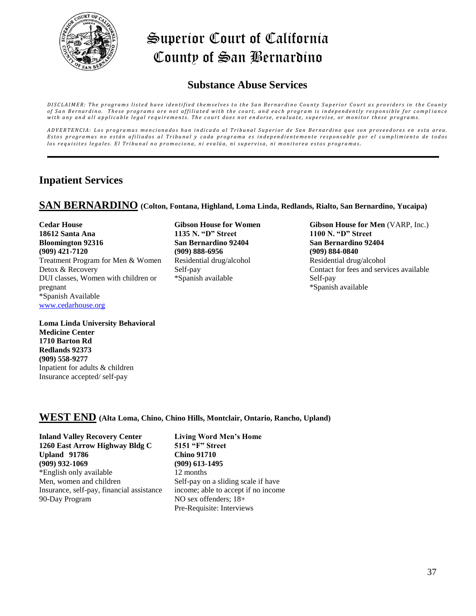

### **Substance Abuse Services**

DISCLAIMER: The programs listed have identified themselves to the San Bernardino County Superior Court as providers in the County of San Bernardino. These programs are not affiliated with the court, and each program is independently responsible for compliance with any and all applicable legal requirements. The court does not endorse, evaluate, supervise, or monitor these programs.

ADVERTENCIA: Los programas mencionados han indicado al Tribunal Superior de San Bernardino que son proveedores en esta area. Estos programas no están afiliados al Tribunal y cada programa es independientemente responsable por el cumplimiento de todos los requisites legales. El Tribunal no promociona, ni evalúa, ni supervisa, ni monitorea estos programas.

### **Inpatient Services**

#### **SAN BERNARDINO (Colton, Fontana, Highland, Loma Linda, Redlands, Rialto, San Bernardino, Yucaipa)**

**Cedar House 18612 Santa Ana Bloomington 92316 (909) 421-7120** Treatment Program for Men & Women Detox & Recovery DUI classes, Women with children or pregnant \*Spanish Available [www.cedarhouse.org](http://www.cedarhouse.org/)

**Gibson House for Women 1135 N. "D" Street San Bernardino 92404 (909) 888-6956** Residential drug/alcohol Self-pay \*Spanish available

**Gibson House for Men** (VARP, Inc.) **1100 N. "D" Street San Bernardino 92404 (909) 884-0840** Residential drug/alcohol Contact for fees and services available Self-pay \*Spanish available

**Loma Linda University Behavioral Medicine Center 1710 Barton Rd Redlands 92373 (909) 558-9277** Inpatient for adults & children Insurance accepted/ self-pay

#### **WEST END (Alta Loma, Chino, Chino Hills, Montclair, Ontario, Rancho, Upland)**

**Inland Valley Recovery Center 1260 East Arrow Highway Bldg C Upland 91786 (909) 932-1069**  \*English only available Men, women and children Insurance, self-pay, financial assistance 90-Day Program

**Living Word Men's Home 5151 "F" Street Chino 91710 (909) 613-1495** 12 months Self-pay on a sliding scale if have income; able to accept if no income NO sex offenders; 18+ Pre-Requisite: Interviews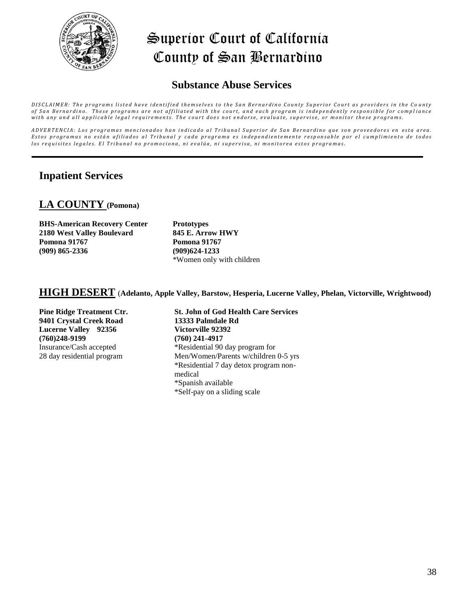

### **Substance Abuse Services**

DISCLAIMER: The programs listed have identified themselves to the San Bernardino County Superior Court as providers in the County of San Bernardino. These programs are not affiliated with the court, and each program is independently responsible for compliance with any and all applicable legal requirements. The court does not endorse, evaluate, supervise, or monitor these programs.

ADVERTENCIA: Los programas mencionados han indicado al Tribunal Superior de San Bernardino que son proveedores en esta area. Estos programas no están afiliados al Tribunal y cada programa es independientemente responsable por el cumplimiento de todos los requisites legales. El Tribunal no promociona, ni evalúa, ni supervisa, ni monitorea estos programas.

### **Inpatient Services**

### **LA COUNTY (Pomona)**

| <b>BHS-American Recovery Center</b> |
|-------------------------------------|
| <b>2180 West Valley Boulevard</b>   |
| <b>Pomona</b> 91767                 |
| $(909) 865 - 2336$                  |

**Prototypes 845 E. Arrow HWY Pomona 91767 (909)624-1233** \*Women only with children

#### **HIGH DESERT** (**Adelanto, Apple Valley, Barstow, Hesperia, Lucerne Valley, Phelan, Victorville, Wrightwood)**

**Pine Ridge Treatment Ctr. 9401 Crystal Creek Road Lucerne Valley 92356 (760)248-9199**  Insurance/Cash accepted 28 day residential program

**St. John of God Health Care Services 13333 Palmdale Rd Victorville 92392 (760) 241-4917**  \*Residential 90 day program for Men/Women/Parents w/children 0-5 yrs \*Residential 7 day detox program nonmedical \*Spanish available \*Self-pay on a sliding scale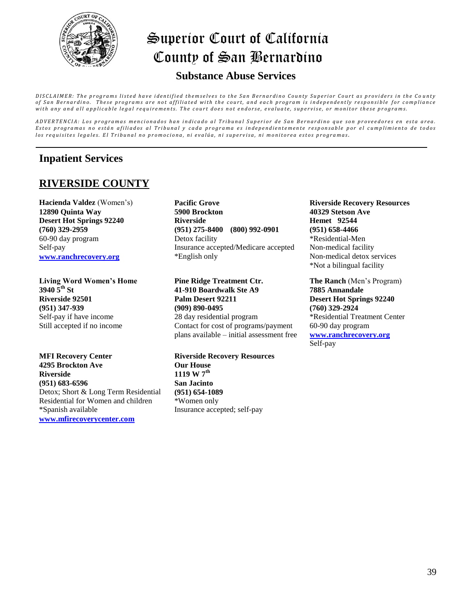

### **Substance Abuse Services**

DISCLAIMER: The programs listed have identified themselves to the San Bernardino County Superior Court as providers in the County of San Bernardino. These programs are not affiliated with the court, and each program is independently responsible for compliance with any and all applicable legal requirements. The court does not endorse, evaluate, supervise, or monitor these programs.

ADVERTENCIA: Los programas mencionados han indicado al Tribunal Superior de San Bernardino que son proveedores en esta area. Estos programas no están afiliados al Tribunal y cada programa es independientemente responsable por el cumplimiento de todos los requisites legales. El Tribunal no promociona, ni evalúa, ni supervisa, ni monitorea estos programas.

### **Inpatient Services**

### **RIVERSIDE COUNTY**

**Hacienda Valdez** (Women's) **12890 Quinta Way Desert Hot Springs 92240 (760) 329-2959**  60-90 day program Self-pay **[www.ranchrecovery.org](http://www.ranchrecovery.org/)**

**Living Word Women's Home 3940 5th St Riverside 92501 (951) 347-939**  Self-pay if have income Still accepted if no income

**MFI Recovery Center 4295 Brockton Ave Riverside (951) 683-6596** Detox; Short & Long Term Residential Residential for Women and children \*Spanish available **[www.mfirecoverycenter.com](http://www.mfirecoverycenter.com/)**

**Pacific Grove 5900 Brockton Riverside (951) 275-8400 (800) 992-0901** Detox facility Insurance accepted/Medicare accepted \*English only

**Pine Ridge Treatment Ctr. 41-910 Boardwalk Ste A9 Palm Desert 92211 (909) 890-0495** 28 day residential program Contact for cost of programs/payment plans available – initial assessment free

**Riverside Recovery Resources Our House 1119 W 7th San Jacinto (951) 654-1089** \*Women only Insurance accepted; self-pay

**Riverside Recovery Resources 40329 Stetson Ave Hemet 92544 (951) 658-4466** \*Residential-Men Non-medical facility Non-medical detox services \*Not a bilingual facility

**The Ranch** (Men's Program) **7885 Annandale Desert Hot Springs 92240 (760) 329-2924**  \*Residential Treatment Center 60-90 day program **[www.ranchrecovery.org](http://www.ranchrecovery.org/)** Self-pay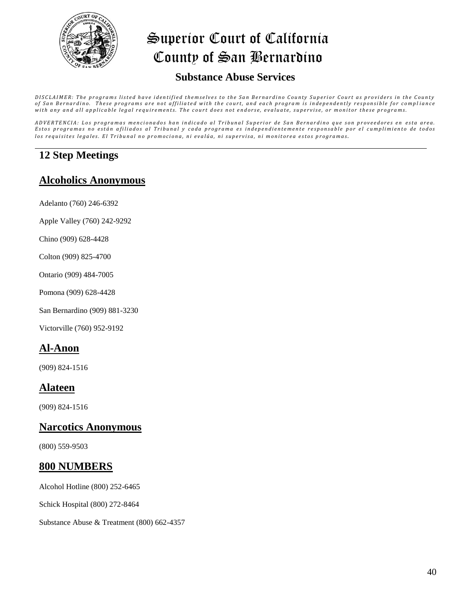

### **Substance Abuse Services**

DISCLAIMER: The programs listed have identified themselves to the San Bernardino County Superior Court as providers in the County of San Bernardino. These programs are not affiliated with the court, and each program is independently responsible for compliance with any and all applicable legal requirements. The court does not endorse, evaluate, supervise, or monitor these programs.

ADVERTENCIA: Los programas mencionados han indicado al Tribunal Superior de San Bernardino que son proveedores en esta area. Estos programas no están afiliados al Tribunal y cada programa es independientemente responsable por el cumplimiento de todos los requisites legales. El Tribunal no promociona, ni evalúa, ni supervisa, ni monitorea estos programas.

### **12 Step Meetings**

#### **Alcoholics Anonymous**

- Adelanto (760) 246-6392
- Apple Valley (760) 242-9292
- Chino (909) 628-4428
- Colton (909) 825-4700
- Ontario (909) 484-7005
- Pomona (909) 628-4428
- San Bernardino (909) 881-3230
- Victorville (760) 952-9192

### **Al-Anon**

(909) 824-1516

#### **Alateen**

(909) 824-1516

#### **Narcotics Anonymous**

(800) 559-9503

#### **800 NUMBERS**

Alcohol Hotline (800) 252-6465

Schick Hospital (800) 272-8464

Substance Abuse & Treatment (800) 662-4357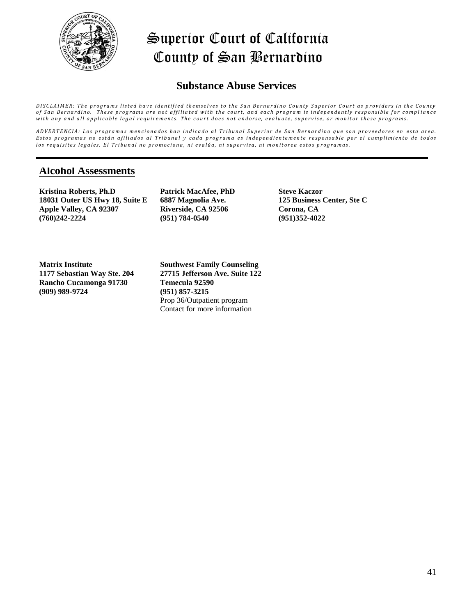

### **Substance Abuse Services**

DISCLAIMER: The programs listed have identified themselves to the San Bernardino County Superior Court as providers in the County of San Bernardino. These programs are not affiliated with the court, and each program is independently responsible for compliance with any and all applicable legal requirements. The court does not endorse, evaluate, supervise, or monitor these programs.

ADVERTENCIA: Los programas mencionados han indicado al Tribunal Superior de San Bernardino que son proveedores en esta area. Estos programas no están afiliados al Tribunal y cada programa es independientemente responsable por el cumplimiento de todos los requisites legales. El Tribunal no promociona, ni evalúa, ni supervisa, ni monitorea estos programas.

#### **Alcohol Assessments**

**Kristina Roberts, Ph.D 18031 Outer US Hwy 18, Suite E Apple Valley, CA 92307 (760)242-2224**

**Patrick MacAfee, PhD 6887 Magnolia Ave. Riverside, CA 92506 (951) 784-0540**

**Steve Kaczor 125 Business Center, Ste C Corona, CA (951)352-4022**

**Matrix Institute 1177 Sebastian Way Ste. 204 Rancho Cucamonga 91730 (909) 989-9724**

**Southwest Family Counseling 27715 Jefferson Ave. Suite 122 Temecula 92590 (951) 857-3215** Prop 36/Outpatient program Contact for more information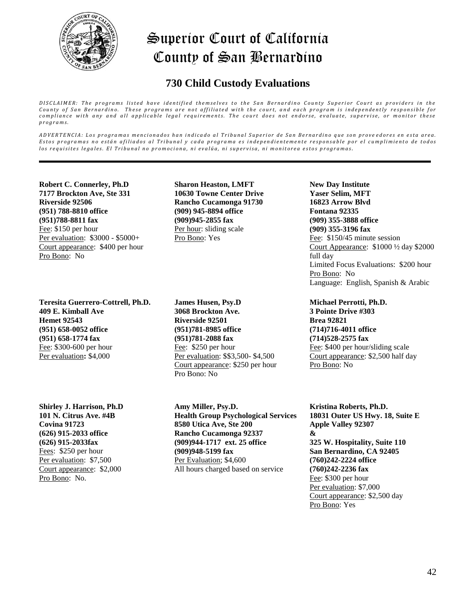

### **730 Child Custody Evaluations**

DISCLAIMER: The programs listed have identified themselves to the San Bernardino County Superior Court as providers in the *County of San Bernardino. These programs are not affiliated with the court, and each program is independently responsible for compliance with any and all applicable legal requirements. The court does not endorse, evaluate, supervise, or monitor these p r o g r a m s .*

ADVERTENCIA: Los programas mencionados han indicado al Tribunal Superior de San Bernardino que son proveedores en esta area. Estos programas no están afiliados al Tribunal y cada programa es independientemente responsable por el cumplimiento de todos los requisites legales. El Tribunal no promociona, ni evalúa, ni supervisa, ni monitorea estos programas.

**Robert C. Connerley, Ph.D 7177 Brockton Ave, Ste 331 Riverside 92506 (951) 788-8810 office (951)788-8811 fax** Fee: \$150 per hour Per evaluation: \$3000 - \$5000+ Court appearance: \$400 per hour Pro Bono: No

**Teresita Guerrero-Cottrell, Ph.D. 409 E. Kimball Ave Hemet 92543 (951) 658-0052 office (951) 658-1774 fax** Fee: \$300-600 per hour Per evaluation**:** \$4,000

**Shirley J. Harrison, Ph.D 101 N. Citrus Ave. #4B Covina 91723 (626) 915-2033 office (626) 915-2033fax** Fees: \$250 per hour Per evaluation: \$7,500 Court appearance: \$2,000 Pro Bono: No.

**Sharon Heaston, LMFT 10630 Towne Center Drive Rancho Cucamonga 91730 (909) 945-8894 office (909)945-2855 fax** Per hour: sliding scale Pro Bono: Yes

**James Husen, Psy.D 3068 Brockton Ave. Riverside 92501 (951)781-8985 office (951)781-2088 fax** Fee: \$250 per hour Per evaluation: \$\$3,500- \$4,500 Court appearance: \$250 per hour Pro Bono: No

**Amy Miller, Psy.D. Health Group Psychological Services 8580 Utica Ave, Ste 200 Rancho Cucamonga 92337 (909)944-1717 ext. 25 office (909)948-5199 fax** Per Evaluation; \$4,600 All hours charged based on service

**New Day Institute Yaser Selim, MFT 16823 Arrow Blvd Fontana 92335 (909) 355-3888 office (909) 355-3196 fax** Fee: \$150/45 minute session Court Appearance: \$1000 ½ day \$2000 full day Limited Focus Evaluations: \$200 hour Pro Bono: No Language: English, Spanish & Arabic

**Michael Perrotti, Ph.D. 3 Pointe Drive #303 Brea 92821 (714)716-4011 office (714)528-2575 fax** Fee: \$400 per hour/sliding scale Court appearance: \$2,500 half day Pro Bono: No

**Kristina Roberts, Ph.D. 18031 Outer US Hwy. 18, Suite E Apple Valley 92307 & 325 W. Hospitality, Suite 110 San Bernardino, CA 92405 (760)242-2224 office (760)242-2236 fax** Fee: \$300 per hour Per evaluation: \$7,000 Court appearance: \$2,500 day Pro Bono: Yes